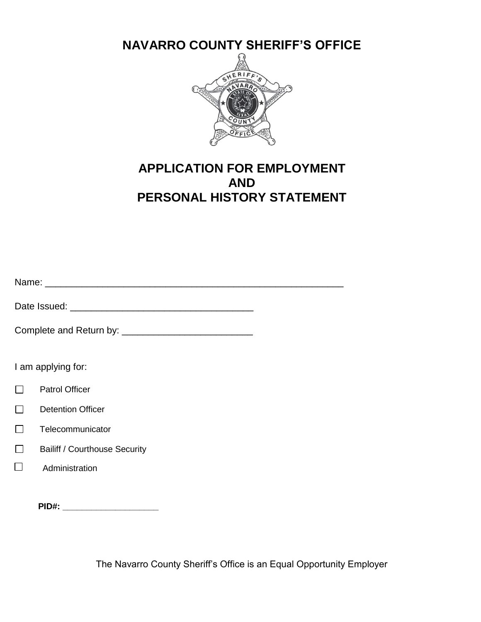**NAVARRO COUNTY SHERIFF'S OFFICE**



# **APPLICATION FOR EMPLOYMENT AND PERSONAL HISTORY STATEMENT**

| I am applying for:                   |  |  |  |  |  |  |  |  |
|--------------------------------------|--|--|--|--|--|--|--|--|
| <b>Patrol Officer</b>                |  |  |  |  |  |  |  |  |
| <b>Detention Officer</b>             |  |  |  |  |  |  |  |  |
| Telecommunicator                     |  |  |  |  |  |  |  |  |
| <b>Bailiff / Courthouse Security</b> |  |  |  |  |  |  |  |  |
| Administration                       |  |  |  |  |  |  |  |  |
|                                      |  |  |  |  |  |  |  |  |
| PID#: ________________________       |  |  |  |  |  |  |  |  |

The Navarro County Sheriff's Office is an Equal Opportunity Employer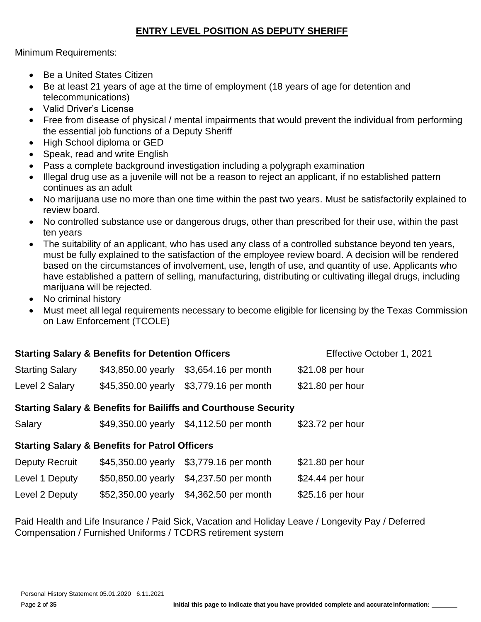# **ENTRY LEVEL POSITION AS DEPUTY SHERIFF**

Minimum Requirements:

- Be a United States Citizen
- Be at least 21 years of age at the time of employment (18 years of age for detention and telecommunications)
- Valid Driver's License
- Free from disease of physical / mental impairments that would prevent the individual from performing the essential job functions of a Deputy Sheriff
- High School diploma or GED
- Speak, read and write English
- Pass a complete background investigation including a polygraph examination
- Illegal drug use as a juvenile will not be a reason to reject an applicant, if no established pattern continues as an adult
- No marijuana use no more than one time within the past two years. Must be satisfactorily explained to review board.
- No controlled substance use or dangerous drugs, other than prescribed for their use, within the past ten years
- The suitability of an applicant, who has used any class of a controlled substance beyond ten years, must be fully explained to the satisfaction of the employee review board. A decision will be rendered based on the circumstances of involvement, use, length of use, and quantity of use. Applicants who have established a pattern of selling, manufacturing, distributing or cultivating illegal drugs, including marijuana will be rejected.
- No criminal history
- Must meet all legal requirements necessary to become eligible for licensing by the Texas Commission on Law Enforcement (TCOLE)

| <b>Starting Salary &amp; Benefits for Detention Officers</b><br>Effective October 1, 2021 |                                                                            |                                         |                  |  |  |  |  |  |  |  |  |  |  |
|-------------------------------------------------------------------------------------------|----------------------------------------------------------------------------|-----------------------------------------|------------------|--|--|--|--|--|--|--|--|--|--|
| <b>Starting Salary</b>                                                                    | \$43,850.00 yearly                                                         | \$3,654.16 per month                    | \$21.08 per hour |  |  |  |  |  |  |  |  |  |  |
| Level 2 Salary                                                                            | \$45,350.00 yearly                                                         | \$3,779.16 per month                    | \$21.80 per hour |  |  |  |  |  |  |  |  |  |  |
|                                                                                           | <b>Starting Salary &amp; Benefits for Bailiffs and Courthouse Security</b> |                                         |                  |  |  |  |  |  |  |  |  |  |  |
| Salary                                                                                    |                                                                            | \$49,350.00 yearly \$4,112.50 per month | \$23.72 per hour |  |  |  |  |  |  |  |  |  |  |
|                                                                                           | <b>Starting Salary &amp; Benefits for Patrol Officers</b>                  |                                         |                  |  |  |  |  |  |  |  |  |  |  |
| <b>Deputy Recruit</b>                                                                     | \$45,350.00 yearly                                                         | \$3,779.16 per month                    | \$21.80 per hour |  |  |  |  |  |  |  |  |  |  |
| Level 1 Deputy                                                                            | \$50,850.00 yearly                                                         | \$4,237.50 per month                    | \$24.44 per hour |  |  |  |  |  |  |  |  |  |  |
| Level 2 Deputy                                                                            | \$52,350.00 yearly                                                         | \$4,362.50 per month                    | \$25.16 per hour |  |  |  |  |  |  |  |  |  |  |

Paid Health and Life Insurance / Paid Sick, Vacation and Holiday Leave / Longevity Pay / Deferred Compensation / Furnished Uniforms / TCDRS retirement system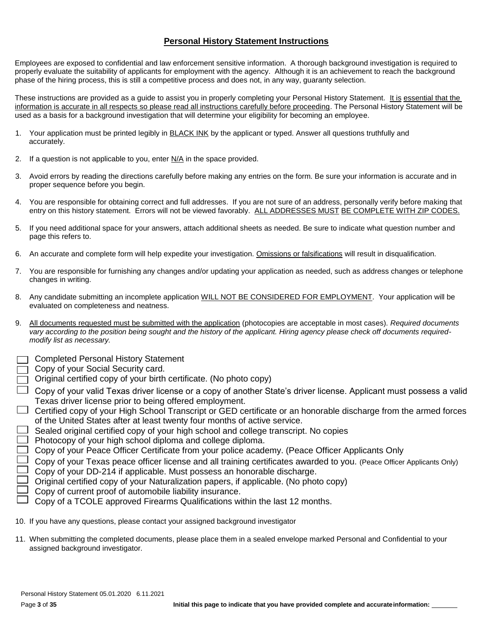### **Personal History Statement Instructions**

Employees are exposed to confidential and law enforcement sensitive information. A thorough background investigation is required to properly evaluate the suitability of applicants for employment with the agency. Although it is an achievement to reach the background phase of the hiring process, this is still a competitive process and does not, in any way, guaranty selection.

These instructions are provided as a guide to assist you in properly completing your Personal History Statement. It is essential that the information is accurate in all respects so please read all instructions carefully before proceeding. The Personal History Statement will be used as a basis for a background investigation that will determine your eligibility for becoming an employee.

- 1. Your application must be printed legibly in **BLACK INK** by the applicant or typed. Answer all questions truthfully and accurately.
- 2. If a question is not applicable to you, enter  $N/A$  in the space provided.
- 3. Avoid errors by reading the directions carefully before making any entries on the form. Be sure your information is accurate and in proper sequence before you begin.
- 4. You are responsible for obtaining correct and full addresses. If you are not sure of an address, personally verify before making that entry on this history statement. Errors will not be viewed favorably. ALL ADDRESSES MUST BE COMPLETE WITH ZIP CODES.
- 5. If you need additional space for your answers, attach additional sheets as needed. Be sure to indicate what question number and page this refers to.
- 6. An accurate and complete form will help expedite your investigation. Omissions or falsifications will result in disqualification.
- 7. You are responsible for furnishing any changes and/or updating your application as needed, such as address changes or telephone changes in writing.
- 8. Any candidate submitting an incomplete application WILL NOT BE CONSIDERED FOR EMPLOYMENT. Your application will be evaluated on completeness and neatness.
- 9. All documents requested must be submitted with the application (photocopies are acceptable in most cases). *Required documents vary according to the position being sought and the history of the applicant. Hiring agency please check off documents requiredmodify list as necessary.* 
	- Completed Personal History Statement
	- Copy of your Social Security card.
	- Original certified copy of your birth certificate. (No photo copy)
	- $\perp$  Copy of your valid Texas driver license or a copy of another State's driver license. Applicant must possess a valid Texas driver license prior to being offered employment.
- $\Box$  Certified copy of your High School Transcript or GED certificate or an honorable discharge from the armed forces of the United States after at least twenty four months of active service.
- $\Box$  Sealed original certified copy of your high school and college transcript. No copies
- $\Box$  Photocopy of your high school diploma and college diploma.
- $\Box$  Copy of your Peace Officer Certificate from your police academy. (Peace Officer Applicants Only
- $\perp$  Copy of your Texas peace officer license and all training certificates awarded to you. (Peace Officer Applicants Only)  $\Box$  Copy of your DD-214 if applicable. Must possess an honorable discharge.
- $\Box$  Original certified copy of your Naturalization papers, if applicable. (No photo copy)
- $\Box$  Copy of current proof of automobile liability insurance.
- $\Box$  Copy of a TCOLE approved Firearms Qualifications within the last 12 months.
- 10. If you have any questions, please contact your assigned background investigator
- 11. When submitting the completed documents, please place them in a sealed envelope marked Personal and Confidential to your assigned background investigator.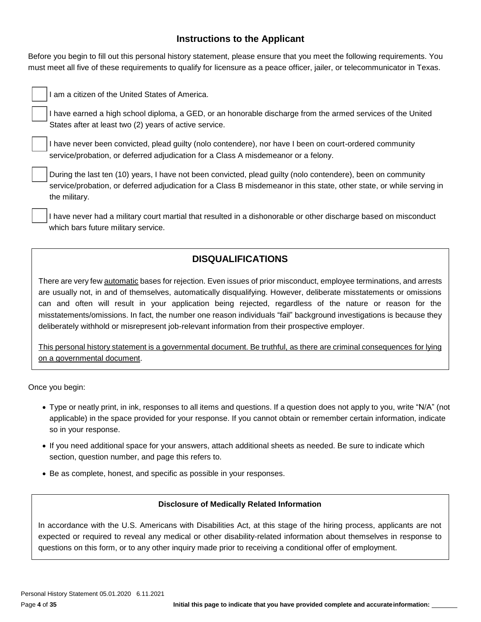# **Instructions to the Applicant**

Before you begin to fill out this personal history statement, please ensure that you meet the following requirements. You must meet all five of these requirements to qualify for licensure as a peace officer, jailer, or telecommunicator in Texas.

I am a citizen of the United States of America.

I have earned a high school diploma, a GED, or an honorable discharge from the armed services of the United States after at least two (2) years of active service.

I have never been convicted, plead guilty (nolo contendere), nor have I been on court-ordered community service/probation, or deferred adjudication for a Class A misdemeanor or a felony.

During the last ten (10) years, I have not been convicted, plead guilty (nolo contendere), been on community service/probation, or deferred adjudication for a Class B misdemeanor in this state, other state, or while serving in the military.

I have never had a military court martial that resulted in a dishonorable or other discharge based on misconduct which bars future military service.

# **DISQUALIFICATIONS**

There are very few automatic bases for rejection. Even issues of prior misconduct, employee terminations, and arrests are usually not, in and of themselves, automatically disqualifying. However, deliberate misstatements or omissions can and often will result in your application being rejected, regardless of the nature or reason for the misstatements/omissions. In fact, the number one reason individuals "fail" background investigations is because they deliberately withhold or misrepresent job-relevant information from their prospective employer.

This personal history statement is a governmental document. Be truthful, as there are criminal consequences for lying on a governmental document.

Once you begin:

- Type or neatly print, in ink, responses to all items and questions. If a question does not apply to you, write "N/A" (not applicable) in the space provided for your response. If you cannot obtain or remember certain information, indicate so in your response.
- If you need additional space for your answers, attach additional sheets as needed. Be sure to indicate which section, question number, and page this refers to.
- Be as complete, honest, and specific as possible in your responses.

#### **Disclosure of Medically Related Information**

In accordance with the U.S. Americans with Disabilities Act, at this stage of the hiring process, applicants are not expected or required to reveal any medical or other disability-related information about themselves in response to questions on this form, or to any other inquiry made prior to receiving a conditional offer of employment.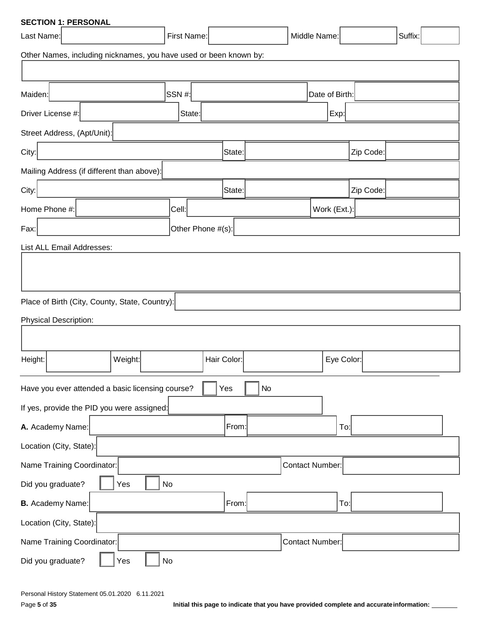| <b>SECTION 1: PERSONAL</b>                                        |                   |             |    |                        |                |           |         |  |  |  |  |
|-------------------------------------------------------------------|-------------------|-------------|----|------------------------|----------------|-----------|---------|--|--|--|--|
| Last Name:                                                        | First Name:       |             |    | Middle Name:           |                |           | Suffix: |  |  |  |  |
| Other Names, including nicknames, you have used or been known by: |                   |             |    |                        |                |           |         |  |  |  |  |
|                                                                   |                   |             |    |                        |                |           |         |  |  |  |  |
| Maiden:                                                           | <b>SSN#:</b>      |             |    |                        | Date of Birth: |           |         |  |  |  |  |
| Driver License #:                                                 | State:            |             |    |                        | Exp:           |           |         |  |  |  |  |
| Street Address, (Apt/Unit):                                       |                   |             |    |                        |                |           |         |  |  |  |  |
| City:                                                             |                   | State:      |    |                        |                | Zip Code: |         |  |  |  |  |
| Mailing Address (if different than above):                        |                   |             |    |                        |                |           |         |  |  |  |  |
| City:                                                             |                   | State:      |    |                        |                | Zip Code: |         |  |  |  |  |
| Home Phone #:                                                     | Cell:             |             |    |                        | Work (Ext.):   |           |         |  |  |  |  |
| Fax:                                                              | Other Phone #(s): |             |    |                        |                |           |         |  |  |  |  |
| List ALL Email Addresses:                                         |                   |             |    |                        |                |           |         |  |  |  |  |
|                                                                   |                   |             |    |                        |                |           |         |  |  |  |  |
|                                                                   |                   |             |    |                        |                |           |         |  |  |  |  |
| Place of Birth (City, County, State, Country):                    |                   |             |    |                        |                |           |         |  |  |  |  |
| <b>Physical Description:</b>                                      |                   |             |    |                        |                |           |         |  |  |  |  |
|                                                                   |                   |             |    |                        |                |           |         |  |  |  |  |
| Height:<br>Weight:                                                |                   | Hair Color: |    |                        | Eye Color:     |           |         |  |  |  |  |
|                                                                   |                   |             |    |                        |                |           |         |  |  |  |  |
| Have you ever attended a basic licensing course?                  |                   | Yes         | No |                        |                |           |         |  |  |  |  |
| If yes, provide the PID you were assigned:                        |                   |             |    |                        |                |           |         |  |  |  |  |
| A. Academy Name:                                                  |                   | From:       |    |                        | To:            |           |         |  |  |  |  |
| Location (City, State):                                           |                   |             |    |                        |                |           |         |  |  |  |  |
| Name Training Coordinator:                                        |                   |             |    | <b>Contact Number:</b> |                |           |         |  |  |  |  |
| Did you graduate?<br>Yes                                          | No                |             |    |                        |                |           |         |  |  |  |  |
| <b>B.</b> Academy Name:                                           |                   | From:       |    |                        | To:            |           |         |  |  |  |  |
| Location (City, State):                                           |                   |             |    |                        |                |           |         |  |  |  |  |
| Name Training Coordinator:                                        |                   |             |    | Contact Number:        |                |           |         |  |  |  |  |
| Did you graduate?<br>Yes                                          | No                |             |    |                        |                |           |         |  |  |  |  |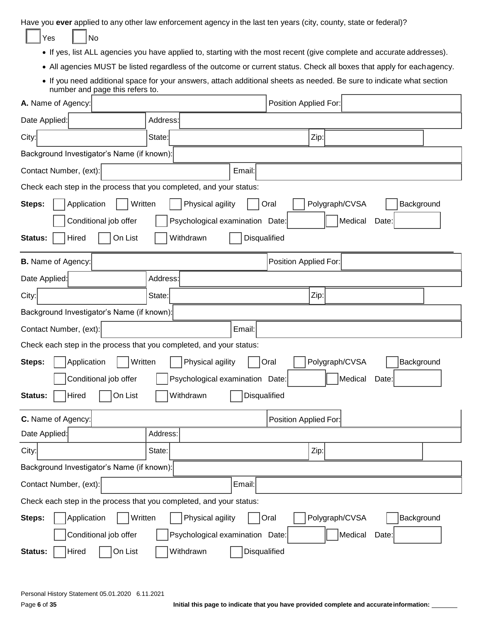Have you **ever** applied to any other law enforcement agency in the last ten years (city, county, state or federal)?

| Yes |  | N٥ |
|-----|--|----|
|-----|--|----|

- If yes, list ALL agencies you have applied to, starting with the most recent (give complete and accurate addresses).
- All agencies MUST be listed regardless of the outcome or current status. Check all boxes that apply for eachagency.
- If you need additional space for your answers, attach additional sheets as needed. Be sure to indicate what section number and page this refers to.

| A. Name of Agency:                                                  |                                            | Position Applied For:                |  |  |  |  |  |  |  |  |  |
|---------------------------------------------------------------------|--------------------------------------------|--------------------------------------|--|--|--|--|--|--|--|--|--|
| Date Applied:                                                       | Address:                                   |                                      |  |  |  |  |  |  |  |  |  |
| City:                                                               | State:                                     | Zip:                                 |  |  |  |  |  |  |  |  |  |
|                                                                     | Background Investigator's Name (if known): |                                      |  |  |  |  |  |  |  |  |  |
| Contact Number, (ext):                                              | Email:                                     |                                      |  |  |  |  |  |  |  |  |  |
| Check each step in the process that you completed, and your status: |                                            |                                      |  |  |  |  |  |  |  |  |  |
| Application<br>Written<br>Steps:                                    | Physical agility                           | Polygraph/CVSA<br>Background<br>Oral |  |  |  |  |  |  |  |  |  |
| Conditional job offer                                               | Psychological examination Date:            | Medical<br>Date:                     |  |  |  |  |  |  |  |  |  |
| On List<br>Hired<br>Status:                                         | Withdrawn<br>Disqualified                  |                                      |  |  |  |  |  |  |  |  |  |
| <b>B.</b> Name of Agency:                                           |                                            | Position Applied For:                |  |  |  |  |  |  |  |  |  |
| Date Applied:                                                       | Address:                                   |                                      |  |  |  |  |  |  |  |  |  |
| City:                                                               | State:                                     | Zip:                                 |  |  |  |  |  |  |  |  |  |
| Background Investigator's Name (if known):                          |                                            |                                      |  |  |  |  |  |  |  |  |  |
| Contact Number, (ext):                                              | Email:                                     |                                      |  |  |  |  |  |  |  |  |  |
| Check each step in the process that you completed, and your status: |                                            |                                      |  |  |  |  |  |  |  |  |  |
| Written<br>Steps:<br>Application                                    | Physical agility                           | Background<br>Polygraph/CVSA<br>Oral |  |  |  |  |  |  |  |  |  |
| Conditional job offer                                               | Psychological examination Date:            | Medical<br>Date:                     |  |  |  |  |  |  |  |  |  |
| On List<br>Hired<br>Status:                                         | Withdrawn<br>Disqualified                  |                                      |  |  |  |  |  |  |  |  |  |
| C. Name of Agency:                                                  |                                            | Position Applied For:                |  |  |  |  |  |  |  |  |  |
| Date Applied:                                                       | Address:                                   |                                      |  |  |  |  |  |  |  |  |  |
| City:                                                               | State:                                     | Zip:                                 |  |  |  |  |  |  |  |  |  |
| Background Investigator's Name (if known):                          |                                            |                                      |  |  |  |  |  |  |  |  |  |
| Contact Number, (ext):                                              | Email:                                     |                                      |  |  |  |  |  |  |  |  |  |
| Check each step in the process that you completed, and your status: |                                            |                                      |  |  |  |  |  |  |  |  |  |
| Written<br>Application<br>Steps:                                    | Physical agility                           | Polygraph/CVSA<br>Background<br>Oral |  |  |  |  |  |  |  |  |  |
| Conditional job offer                                               | Psychological examination Date:            | Medical<br>Date:                     |  |  |  |  |  |  |  |  |  |
| On List<br>Hired<br>Status:                                         | Disqualified<br>Withdrawn                  |                                      |  |  |  |  |  |  |  |  |  |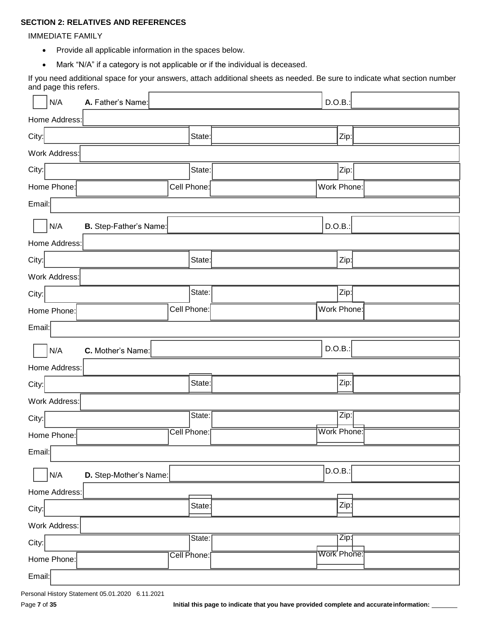### **SECTION 2: RELATIVES AND REFERENCES**

#### IMMEDIATE FAMILY

- Provide all applicable information in the spaces below.
- Mark "N/A" if a category is not applicable or if the individual is deceased.

If you need additional space for your answers, attach additional sheets as needed. Be sure to indicate what section number and page this refers.

| N/A<br>A. Father's Name:      |             | D.O.B.:           |
|-------------------------------|-------------|-------------------|
| Home Address:                 |             |                   |
| City:                         | State:      | Zip:              |
| Work Address:                 |             |                   |
| City:                         | State:      | Zip:              |
| Home Phone:                   | Cell Phone: | Work Phone:       |
| Email:                        |             |                   |
| N/A<br>B. Step-Father's Name: |             | D.O.B.:           |
| Home Address:                 |             |                   |
| City:                         | State:      | Zip:              |
| Work Address:                 |             |                   |
| City:                         | State:      | Zip:              |
| Home Phone:                   | Cell Phone: | Work Phone:       |
| Email:                        |             |                   |
|                               |             |                   |
| N/A<br>C. Mother's Name:      |             | D.O.B.:           |
| Home Address:                 |             |                   |
| City:                         | State:      | Zip:              |
| Work Address:                 |             |                   |
| City:                         | State:      | Zip:              |
| Home Phone:                   | Cell Phone: | Work Phone:       |
| Email:                        |             |                   |
| N/A<br>D. Step-Mother's Name: |             | $ $ D.O.B.: $ $   |
| Home Address:                 |             |                   |
| City:                         | State:      | Zip:              |
| Work Address:                 |             |                   |
|                               | State:      | $\overline{Zip:}$ |
| City:<br>Home Phone:          | Cell Phone: | Work Phone:       |

Page 7 of 35 **Initial this page to indicate that you have provided complete and accurate information:**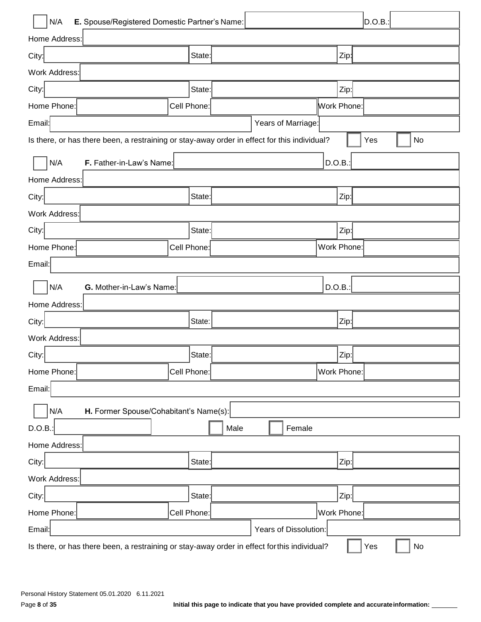| N/A<br>E. Spouse/Registered Domestic Partner's Name:                                         |             |      |                       |              | D.O.B. |    |
|----------------------------------------------------------------------------------------------|-------------|------|-----------------------|--------------|--------|----|
| Home Address:                                                                                |             |      |                       |              |        |    |
| City:                                                                                        | State:      |      |                       | Zip:         |        |    |
| Work Address:                                                                                |             |      |                       |              |        |    |
| City:                                                                                        | State:      |      |                       | Zip:         |        |    |
| Home Phone:                                                                                  | Cell Phone: |      |                       | Work Phone:  |        |    |
| Email:                                                                                       |             |      | Years of Marriage:    |              |        |    |
| Is there, or has there been, a restraining or stay-away order in effect for this individual? |             |      |                       |              | Yes    | No |
| N/A<br>F. Father-in-Law's Name:                                                              |             |      |                       | D.O.B.:      |        |    |
| Home Address:                                                                                |             |      |                       |              |        |    |
| City:                                                                                        | State:      |      |                       | Zip:         |        |    |
| Work Address:                                                                                |             |      |                       |              |        |    |
| City:                                                                                        | State:      |      |                       | Zip:         |        |    |
| Home Phone:                                                                                  | Cell Phone: |      |                       | Work Phone:  |        |    |
| Email:                                                                                       |             |      |                       |              |        |    |
| N/A<br>G. Mother-in-Law's Name:                                                              |             |      |                       | D.O.B.       |        |    |
| Home Address:                                                                                |             |      |                       |              |        |    |
| City:                                                                                        | State:      |      |                       | Zip:         |        |    |
| Work Address:                                                                                |             |      |                       |              |        |    |
| City:                                                                                        | State:      |      |                       | $ $ Zip: $ $ |        |    |
| Home Phone:                                                                                  | Cell Phone: |      |                       | Work Phone:  |        |    |
| Email:                                                                                       |             |      |                       |              |        |    |
| N/A<br>H. Former Spouse/Cohabitant's Name(s):                                                |             |      |                       |              |        |    |
| D.O.B.:                                                                                      |             | Male | Female                |              |        |    |
| Home Address:                                                                                |             |      |                       |              |        |    |
| City:                                                                                        | State:      |      |                       | Zip:         |        |    |
| Work Address:                                                                                |             |      |                       |              |        |    |
| City:                                                                                        | State:      |      |                       | Zip:         |        |    |
| Home Phone:                                                                                  | Cell Phone: |      |                       | Work Phone:  |        |    |
| Email:                                                                                       |             |      | Years of Dissolution: |              |        |    |
| Is there, or has there been, a restraining or stay-away order in effect for this individual? |             |      |                       |              | Yes    | No |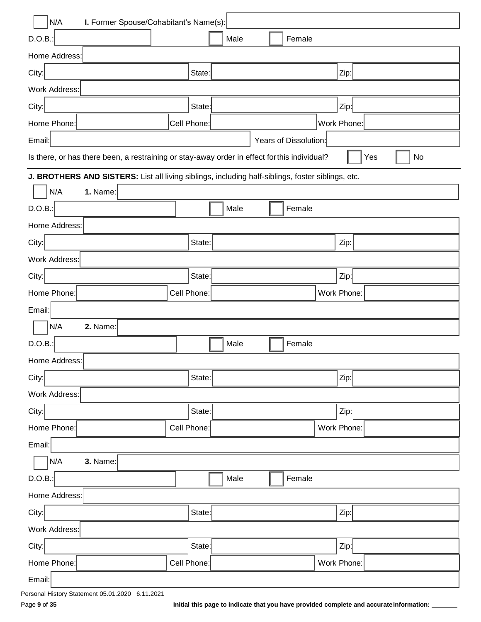| N/A<br>I. Former Spouse/Cohabitant's Name(s):                                                     |             |  |      |  |        |             |             |           |  |
|---------------------------------------------------------------------------------------------------|-------------|--|------|--|--------|-------------|-------------|-----------|--|
| $D.O.B.$ :                                                                                        |             |  | Male |  | Female |             |             |           |  |
| Home Address:                                                                                     |             |  |      |  |        |             |             |           |  |
| City:                                                                                             | State:      |  |      |  |        |             | Zip:        |           |  |
| Work Address:                                                                                     |             |  |      |  |        |             |             |           |  |
| City:                                                                                             | State:      |  |      |  |        |             | Zip:        |           |  |
| Home Phone:                                                                                       | Cell Phone: |  |      |  |        |             | Work Phone: |           |  |
| Years of Dissolution:<br>Email:                                                                   |             |  |      |  |        |             |             |           |  |
| Is there, or has there been, a restraining or stay-away order in effect for this individual?      |             |  |      |  |        |             |             | Yes<br>No |  |
| J. BROTHERS AND SISTERS: List all living siblings, including half-siblings, foster siblings, etc. |             |  |      |  |        |             |             |           |  |
| N/A<br>1. Name:                                                                                   |             |  |      |  |        |             |             |           |  |
| D.O.B.:                                                                                           |             |  | Male |  | Female |             |             |           |  |
| Home Address:                                                                                     |             |  |      |  |        |             |             |           |  |
| City:                                                                                             | State:      |  |      |  |        |             | Zip:        |           |  |
| Work Address:                                                                                     |             |  |      |  |        |             |             |           |  |
| City:                                                                                             | State:      |  |      |  |        |             | Zip:        |           |  |
| Home Phone:                                                                                       | Cell Phone: |  |      |  |        |             | Work Phone: |           |  |
| Email:                                                                                            |             |  |      |  |        |             |             |           |  |
| N/A<br>2. Name:                                                                                   |             |  |      |  |        |             |             |           |  |
| D.O.B.:                                                                                           |             |  | Male |  | Female |             |             |           |  |
| Home Address:                                                                                     |             |  |      |  |        |             |             |           |  |
| City:                                                                                             | State:      |  |      |  |        |             | Zip:        |           |  |
| Work Address:                                                                                     |             |  |      |  |        |             |             |           |  |
| City:                                                                                             | State:      |  |      |  |        |             | Zip:        |           |  |
| Home Phone:                                                                                       | Cell Phone: |  |      |  |        |             | Work Phone: |           |  |
| Email:                                                                                            |             |  |      |  |        |             |             |           |  |
| 3. Name:<br>N/A                                                                                   |             |  |      |  |        |             |             |           |  |
| D.O.B.:                                                                                           |             |  | Male |  | Female |             |             |           |  |
| Home Address:                                                                                     |             |  |      |  |        |             |             |           |  |
| City:                                                                                             | State:      |  |      |  |        |             | Zip:        |           |  |
| Work Address:                                                                                     |             |  |      |  |        |             |             |           |  |
| City:                                                                                             | State:      |  |      |  |        |             | Zip:        |           |  |
| Home Phone:                                                                                       | Cell Phone: |  |      |  |        | Work Phone: |             |           |  |
| Email:                                                                                            |             |  |      |  |        |             |             |           |  |

Page 9 of 35 **Initial this page to indicate that you have provided complete and accurate information:** 

Personal History Statement 05.01.2020 6.11.2021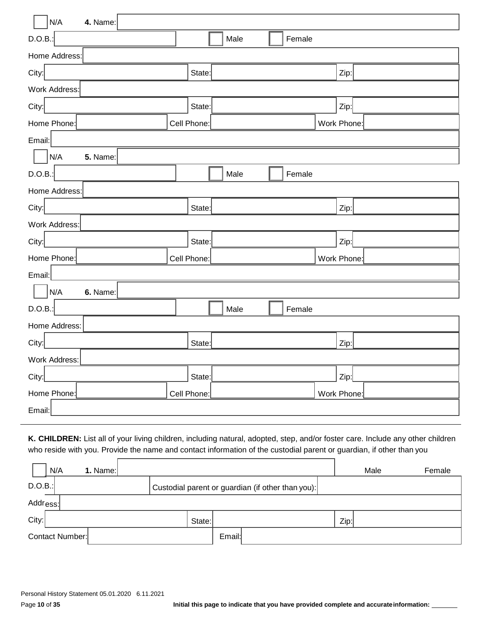| N/A<br>4. Name:        |             |      |        |             |  |
|------------------------|-------------|------|--------|-------------|--|
| D.O.B.                 |             | Male | Female |             |  |
| Home Address:          |             |      |        |             |  |
| City:                  | State:      |      |        | Zip:        |  |
| Work Address:          |             |      |        |             |  |
| City:                  | State:      |      |        | Zip:        |  |
| Home Phone:            | Cell Phone: |      |        | Work Phone: |  |
| Email:                 |             |      |        |             |  |
| N/A<br><b>5.</b> Name: |             |      |        |             |  |
| D.O.B.                 |             | Male | Female |             |  |
| Home Address:          |             |      |        |             |  |
| City:                  | State:      |      |        | Zip:        |  |
| Work Address:          |             |      |        |             |  |
| City:                  | State:      |      |        | Zip:        |  |
| Home Phone:            | Cell Phone: |      |        | Work Phone: |  |
| Email:                 |             |      |        |             |  |
| N/A<br>6. Name:        |             |      |        |             |  |
| D.O.B.:                |             | Male | Female |             |  |
| Home Address:          |             |      |        |             |  |
| City:                  | State:      |      |        | Zip:        |  |
| Work Address:          |             |      |        |             |  |
| City:                  | State:      |      |        | Zip:        |  |
| Home Phone:            | Cell Phone: |      |        | Work Phone: |  |
| Email:                 |             |      |        |             |  |

**K. CHILDREN:** List all of your living children, including natural, adopted, step, and/or foster care. Include any other children who reside with you. Provide the name and contact information of the custodial parent or guardian, if other than you

|         | N/A                  | 1. Name: |  |  |  |                                                   |  | Male | Female |  |
|---------|----------------------|----------|--|--|--|---------------------------------------------------|--|------|--------|--|
| D.O.B.: |                      |          |  |  |  | Custodial parent or guardian (if other than you): |  |      |        |  |
|         | Addr <sub>ess:</sub> |          |  |  |  |                                                   |  |      |        |  |
| City:   | Zip:<br>State:       |          |  |  |  |                                                   |  |      |        |  |
|         | Contact Number:      |          |  |  |  | Email:                                            |  |      |        |  |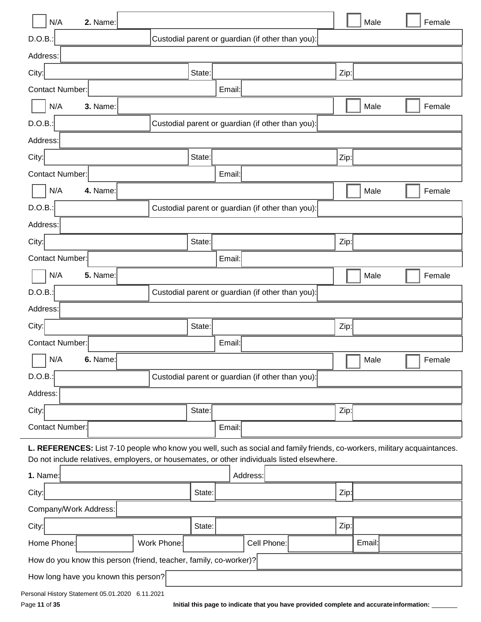| N/A<br>2. Name:                                                                                                           |                                      |        |        |                                                   |  |      | Male   |  | Female |
|---------------------------------------------------------------------------------------------------------------------------|--------------------------------------|--------|--------|---------------------------------------------------|--|------|--------|--|--------|
| D.O.B.:                                                                                                                   |                                      |        |        | Custodial parent or guardian (if other than you): |  |      |        |  |        |
| Address:                                                                                                                  |                                      |        |        |                                                   |  |      |        |  |        |
| City:                                                                                                                     |                                      | State: |        |                                                   |  | Zip: |        |  |        |
| <b>Contact Number:</b>                                                                                                    |                                      |        | Email: |                                                   |  |      |        |  |        |
| N/A<br>3. Name:                                                                                                           |                                      |        |        |                                                   |  |      | Male   |  | Female |
| D.O.B.:                                                                                                                   |                                      |        |        | Custodial parent or guardian (if other than you): |  |      |        |  |        |
| Address:                                                                                                                  |                                      |        |        |                                                   |  |      |        |  |        |
| City:                                                                                                                     |                                      | State: |        |                                                   |  | Zip: |        |  |        |
| Contact Number:                                                                                                           |                                      |        | Email: |                                                   |  |      |        |  |        |
| N/A<br>4. Name:                                                                                                           |                                      |        |        |                                                   |  |      | Male   |  | Female |
| D.O.B.:                                                                                                                   |                                      |        |        | Custodial parent or guardian (if other than you): |  |      |        |  |        |
| Address:                                                                                                                  |                                      |        |        |                                                   |  |      |        |  |        |
| City:                                                                                                                     |                                      | State: |        |                                                   |  | Zip: |        |  |        |
| <b>Contact Number:</b>                                                                                                    |                                      |        | Email: |                                                   |  |      |        |  |        |
| N/A<br><b>5.</b> Name:                                                                                                    |                                      |        |        |                                                   |  |      | Male   |  | Female |
| D.O.B.:                                                                                                                   |                                      |        |        | Custodial parent or guardian (if other than you): |  |      |        |  |        |
| Address:                                                                                                                  |                                      |        |        |                                                   |  |      |        |  |        |
| City:                                                                                                                     |                                      | State: |        |                                                   |  | Zip: |        |  |        |
| Contact Number:                                                                                                           |                                      |        | Email: |                                                   |  |      |        |  |        |
| N/A<br>6. Name:                                                                                                           |                                      |        |        |                                                   |  |      | Male   |  | Female |
| D.O.B.                                                                                                                    |                                      |        |        | Custodial parent or guardian (if other than you): |  |      |        |  |        |
| Address:                                                                                                                  |                                      |        |        |                                                   |  |      |        |  |        |
| City:                                                                                                                     |                                      | State: |        |                                                   |  | Zip: |        |  |        |
| <b>Contact Number:</b>                                                                                                    |                                      |        | Email: |                                                   |  |      |        |  |        |
| L. REFERENCES: List 7-10 people who know you well, such as social and family friends, co-workers, military acquaintances. |                                      |        |        |                                                   |  |      |        |  |        |
| Do not include relatives, employers, or housemates, or other individuals listed elsewhere.                                |                                      |        |        |                                                   |  |      |        |  |        |
| 1. Name:                                                                                                                  |                                      |        |        | Address:                                          |  |      |        |  |        |
| City:                                                                                                                     |                                      | State: |        |                                                   |  | Zip: |        |  |        |
| Company/Work Address:                                                                                                     |                                      |        |        |                                                   |  |      |        |  |        |
| City:                                                                                                                     |                                      | State: |        |                                                   |  | Zip: |        |  |        |
| Home Phone:                                                                                                               | Work Phone:                          |        |        | Cell Phone:                                       |  |      | Email: |  |        |
| How do you know this person (friend, teacher, family, co-worker)?                                                         |                                      |        |        |                                                   |  |      |        |  |        |
|                                                                                                                           | How long have you known this person? |        |        |                                                   |  |      |        |  |        |
| Personal History Statement 05.01.2020 6.11.2021                                                                           |                                      |        |        |                                                   |  |      |        |  |        |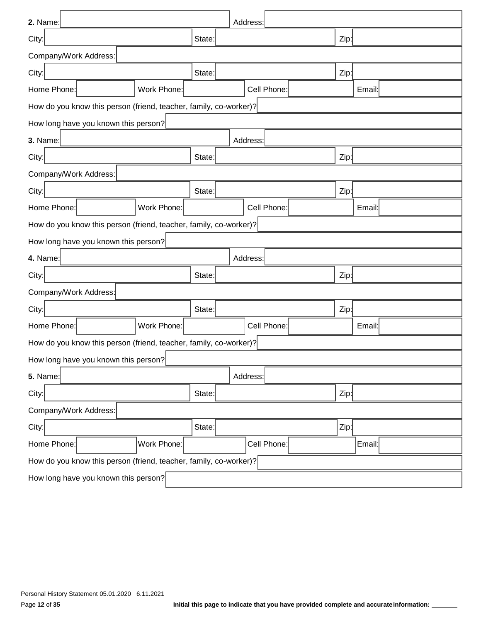| 2. Name:                                                          |        | Address:    |  |      |        |  |  |  |  |  |  |
|-------------------------------------------------------------------|--------|-------------|--|------|--------|--|--|--|--|--|--|
| City:                                                             | State: |             |  | Zip: |        |  |  |  |  |  |  |
| Company/Work Address:                                             |        |             |  |      |        |  |  |  |  |  |  |
| City:                                                             | State: |             |  | Zip: |        |  |  |  |  |  |  |
| Home Phone:<br>Work Phone:                                        |        | Cell Phone: |  |      | Email: |  |  |  |  |  |  |
| How do you know this person (friend, teacher, family, co-worker)? |        |             |  |      |        |  |  |  |  |  |  |
| How long have you known this person?                              |        |             |  |      |        |  |  |  |  |  |  |
| 3. Name:                                                          |        | Address:    |  |      |        |  |  |  |  |  |  |
| City:                                                             | State: |             |  | Zip: |        |  |  |  |  |  |  |
| Company/Work Address:                                             |        |             |  |      |        |  |  |  |  |  |  |
| City:                                                             | State: |             |  | Zip: |        |  |  |  |  |  |  |
| Work Phone:<br>Home Phone:                                        |        | Cell Phone: |  |      | Email: |  |  |  |  |  |  |
| How do you know this person (friend, teacher, family, co-worker)? |        |             |  |      |        |  |  |  |  |  |  |
| How long have you known this person?                              |        |             |  |      |        |  |  |  |  |  |  |
| 4. Name:                                                          |        | Address:    |  |      |        |  |  |  |  |  |  |
| City:                                                             | State: | Zip:        |  |      |        |  |  |  |  |  |  |
| Company/Work Address:                                             |        |             |  |      |        |  |  |  |  |  |  |
| City:                                                             | State: |             |  | Zip: |        |  |  |  |  |  |  |
| Work Phone:<br>Home Phone:                                        |        | Cell Phone: |  |      | Email: |  |  |  |  |  |  |
| How do you know this person (friend, teacher, family, co-worker)? |        |             |  |      |        |  |  |  |  |  |  |
| How long have you known this person?                              |        |             |  |      |        |  |  |  |  |  |  |
| 5. Name:                                                          |        | Address:    |  |      |        |  |  |  |  |  |  |
| City:                                                             | State: |             |  | Zip: |        |  |  |  |  |  |  |
| Company/Work Address:                                             |        |             |  |      |        |  |  |  |  |  |  |
| City:                                                             | State: |             |  | Zip: |        |  |  |  |  |  |  |
| Home Phone:<br>Work Phone:                                        |        | Cell Phone: |  |      | Email: |  |  |  |  |  |  |
| How do you know this person (friend, teacher, family, co-worker)? |        |             |  |      |        |  |  |  |  |  |  |
| How long have you known this person?                              |        |             |  |      |        |  |  |  |  |  |  |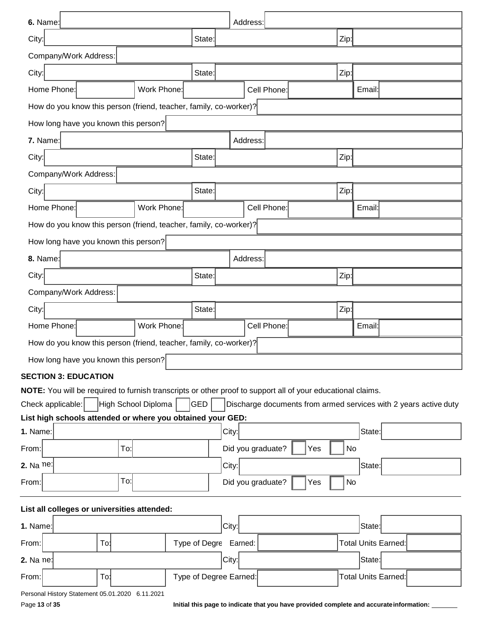| 6. Name:                                                                        |                     |        | Address:                                                                                                    |      |                     |
|---------------------------------------------------------------------------------|---------------------|--------|-------------------------------------------------------------------------------------------------------------|------|---------------------|
| City:                                                                           |                     | State: |                                                                                                             | Zip: |                     |
| Company/Work Address:                                                           |                     |        |                                                                                                             |      |                     |
| City:                                                                           |                     | State: |                                                                                                             | Zip: |                     |
| Home Phone:                                                                     | Work Phone:         |        | Cell Phone:                                                                                                 |      | Email:              |
| How do you know this person (friend, teacher, family, co-worker)?               |                     |        |                                                                                                             |      |                     |
| How long have you known this person?                                            |                     |        |                                                                                                             |      |                     |
| 7. Name:                                                                        |                     |        | Address:                                                                                                    |      |                     |
| City:                                                                           |                     | State: |                                                                                                             | Zip: |                     |
| Company/Work Address:                                                           |                     |        |                                                                                                             |      |                     |
| City:                                                                           |                     | State: |                                                                                                             | Zip: |                     |
| Home Phone:                                                                     | Work Phone:         |        | Cell Phone:                                                                                                 |      | Email:              |
| How do you know this person (friend, teacher, family, co-worker)?               |                     |        |                                                                                                             |      |                     |
| How long have you known this person?                                            |                     |        |                                                                                                             |      |                     |
| 8. Name:                                                                        |                     |        | Address:                                                                                                    |      |                     |
| City:                                                                           |                     | State: |                                                                                                             | Zip: |                     |
| Company/Work Address:                                                           |                     |        |                                                                                                             |      |                     |
| City:                                                                           |                     | State: |                                                                                                             | Zip: |                     |
| Home Phone:                                                                     | Work Phone:         |        | Cell Phone:                                                                                                 |      | Email:              |
| How do you know this person (friend, teacher, family, co-worker)?               |                     |        |                                                                                                             |      |                     |
| How long have you known this person?                                            |                     |        |                                                                                                             |      |                     |
| <b>SECTION 3: EDUCATION</b>                                                     |                     |        |                                                                                                             |      |                     |
|                                                                                 |                     |        | NOTE: You will be required to furnish transcripts or other proof to support all of your educational claims. |      |                     |
| Check applicable:<br>List high schools attended or where you obtained your GED: | High School Diploma | GED    | Discharge documents from armed services with 2 years active duty                                            |      |                     |
| 1. Name:                                                                        |                     |        | City:                                                                                                       |      | State:              |
| To:<br>From:                                                                    |                     |        | Did you graduate?<br>Yes                                                                                    | No   |                     |
| 2. Na $ne$                                                                      |                     |        | City:                                                                                                       |      | State:              |
| To:<br>From:                                                                    |                     |        | Did you graduate?<br>Yes                                                                                    | No   |                     |
| List all colleges or universities attended:                                     |                     |        |                                                                                                             |      |                     |
| 1. Name:                                                                        |                     |        | City:                                                                                                       |      | State:              |
| From:<br>To!                                                                    |                     |        | Type of Degre Earned:                                                                                       |      | Total Units Earned: |
| 2. Na ne:                                                                       |                     |        | City:                                                                                                       |      | State:              |
| To:<br>From:                                                                    |                     |        | Type of Degree Earned:                                                                                      |      | Total Units Earned: |
| Personal History Statement 05.01.2020 6.11.2021                                 |                     |        |                                                                                                             |      |                     |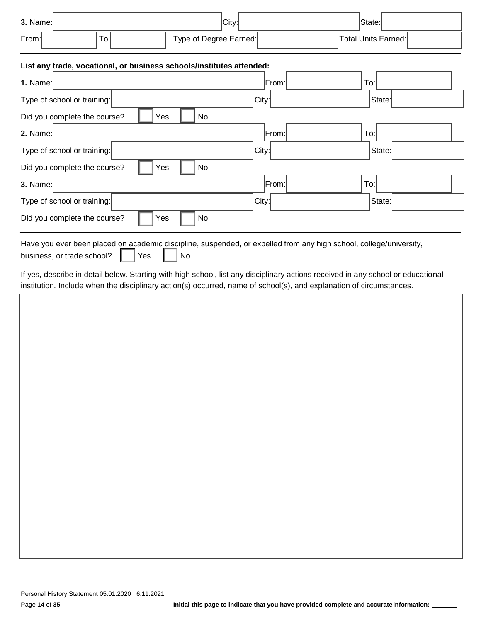| $3.$ Name:         | City:                  | State:              |
|--------------------|------------------------|---------------------|
| From:<br>-<br>To:l | Type of Degree Earned: | Total Units Earned: |

#### **List any trade, vocational, or business schools/institutes attended:**

| List any trade, vocational, or business scribbishmentuces attended.                                                                                           |       |        |
|---------------------------------------------------------------------------------------------------------------------------------------------------------------|-------|--------|
| 1. Name:                                                                                                                                                      | From: | To:    |
| Type of school or training:                                                                                                                                   | City: | State: |
| No<br>Did you complete the course?<br>Yes                                                                                                                     |       |        |
| $2.$ Name:                                                                                                                                                    | From: | To:    |
| Type of school or training:                                                                                                                                   | City: | State: |
| No<br>Did you complete the course?<br>Yes                                                                                                                     |       |        |
| $3.$ Name:                                                                                                                                                    | From: | To:    |
| Type of school or training:                                                                                                                                   | City: | State: |
| Did you complete the course?<br>No<br>Yes                                                                                                                     |       |        |
| Have you ever been placed on academic discipline, suspended, or expelled from any high school, college/university,<br>Yes<br>business, or trade school?<br>No |       |        |

If yes, describe in detail below. Starting with high school, list any disciplinary actions received in any school or educational institution. Include when the disciplinary action(s) occurred, name of school(s), and explanation of circumstances.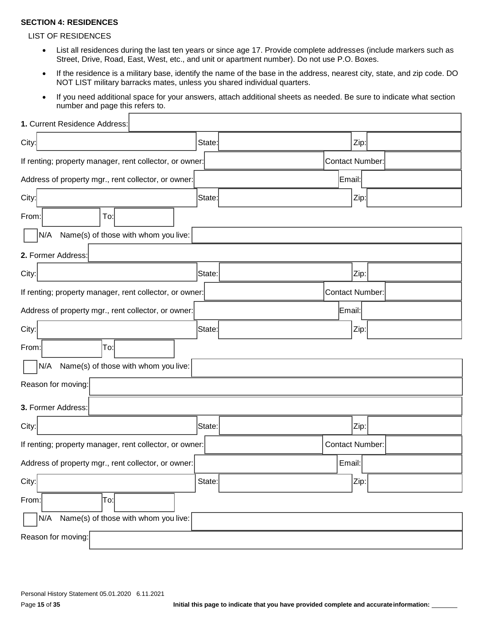#### **SECTION 4: RESIDENCES**

#### LIST OF RESIDENCES

Г

- List all residences during the last ten years or since age 17. Provide complete addresses (include markers such as Street, Drive, Road, East, West, etc., and unit or apartment number). Do not use P.O. Boxes.
- If the residence is a military base, identify the name of the base in the address, nearest city, state, and zip code. DO NOT LIST military barracks mates, unless you shared individual quarters.
- If you need additional space for your answers, attach additional sheets as needed. Be sure to indicate what section number and page this refers to.

| 1. Current Residence Address:                           |        |                        |        |  |
|---------------------------------------------------------|--------|------------------------|--------|--|
| City:                                                   | State: |                        | Zip:   |  |
| If renting; property manager, rent collector, or owner: |        | Contact Number:        |        |  |
| Address of property mgr., rent collector, or owner:     |        |                        | Email: |  |
| City:                                                   | State: |                        | Zip:   |  |
| From:<br>To:                                            |        |                        |        |  |
| N/A<br>Name(s) of those with whom you live:             |        |                        |        |  |
| 2. Former Address:                                      |        |                        |        |  |
| City:                                                   | State: |                        | Zip:   |  |
| If renting; property manager, rent collector, or owner: |        | Contact Number:        |        |  |
| Address of property mgr., rent collector, or owner:     |        |                        | Email: |  |
| City:                                                   | State: |                        | Zip:   |  |
| From:<br>To:                                            |        |                        |        |  |
| Name(s) of those with whom you live:<br>N/A             |        |                        |        |  |
| Reason for moving:                                      |        |                        |        |  |
| 3. Former Address:                                      |        |                        |        |  |
| City:                                                   | State: |                        | Zip:   |  |
| If renting; property manager, rent collector, or owner: |        | <b>Contact Number:</b> |        |  |
| Address of property mgr., rent collector, or owner:     |        |                        | Email: |  |
| City:                                                   | State: |                        | Zip:   |  |
| To:<br>From:                                            |        |                        |        |  |
| Name(s) of those with whom you live:<br>N/A             |        |                        |        |  |
| Reason for moving:                                      |        |                        |        |  |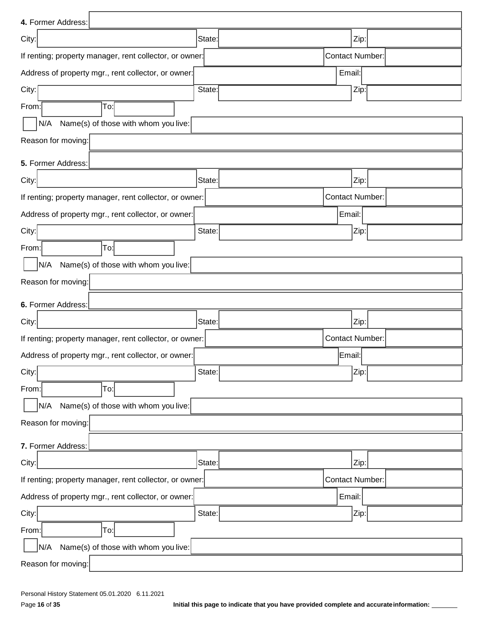| 4. Former Address:                                      |        |                        |      |
|---------------------------------------------------------|--------|------------------------|------|
| City:                                                   | State: |                        | Zip: |
| If renting; property manager, rent collector, or owner: |        | <b>Contact Number:</b> |      |
| Address of property mgr., rent collector, or owner:     |        | Email:                 |      |
| City:                                                   | State: |                        | Zip: |
| To:<br>From:                                            |        |                        |      |
| Name(s) of those with whom you live:<br>N/A             |        |                        |      |
| Reason for moving:                                      |        |                        |      |
| 5. Former Address:                                      |        |                        |      |
| City:                                                   | State: |                        | Zip: |
| If renting; property manager, rent collector, or owner: |        | <b>Contact Number:</b> |      |
| Address of property mgr., rent collector, or owner:     |        | Email:                 |      |
| City:                                                   | State: |                        | Zip: |
| To:<br>From:                                            |        |                        |      |
| Name(s) of those with whom you live:<br>N/A             |        |                        |      |
| Reason for moving:                                      |        |                        |      |
| 6. Former Address:                                      |        |                        |      |
| City:                                                   | State: |                        | Zip: |
| If renting; property manager, rent collector, or owner: |        | <b>Contact Number:</b> |      |
| Address of property mgr., rent collector, or owner:     |        | Email:                 |      |
| City:                                                   | State: |                        | Zip: |
| To:<br>From:                                            |        |                        |      |
| N/A<br>Name(s) of those with whom you live:             |        |                        |      |
| Reason for moving:                                      |        |                        |      |
| 7. Former Address:                                      |        |                        |      |
| City:                                                   | State: |                        | Zip: |
| If renting; property manager, rent collector, or owner: |        | <b>Contact Number:</b> |      |
| Address of property mgr., rent collector, or owner:     |        | Email:                 |      |
| City:                                                   | State: |                        | Zip: |
| From:<br> To:                                           |        |                        |      |
| Name(s) of those with whom you live:<br>N/A             |        |                        |      |
| Reason for moving:                                      |        |                        |      |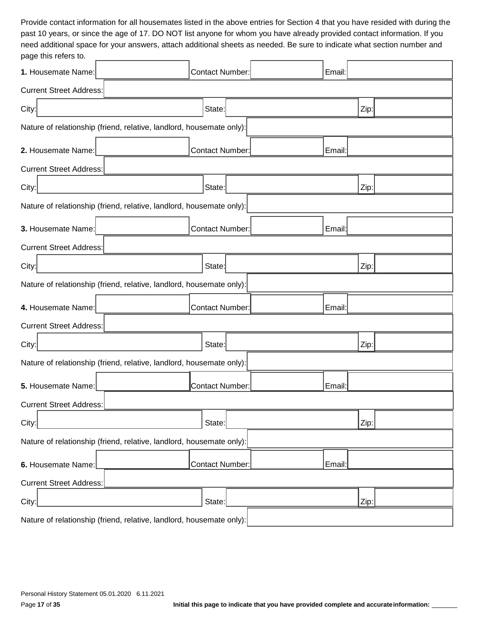Provide contact information for all housemates listed in the above entries for Section 4 that you have resided with during the past 10 years, or since the age of 17. DO NOT list anyone for whom you have already provided contact information. If you need additional space for your answers, attach additional sheets as needed. Be sure to indicate what section number and page this refers to.

| pago uno roioro to.                                                  |                                                                      |                        |  |  |        |      |  |
|----------------------------------------------------------------------|----------------------------------------------------------------------|------------------------|--|--|--------|------|--|
| 1. Housemate Name:                                                   |                                                                      | Contact Number:        |  |  | Email: |      |  |
| <b>Current Street Address:</b>                                       |                                                                      |                        |  |  |        |      |  |
| City:                                                                |                                                                      | State:                 |  |  |        | Zip: |  |
| Nature of relationship (friend, relative, landlord, housemate only): |                                                                      |                        |  |  |        |      |  |
| 2. Housemate Name:                                                   |                                                                      | Contact Number:        |  |  | Email: |      |  |
| <b>Current Street Address:</b>                                       |                                                                      |                        |  |  |        |      |  |
| City:                                                                |                                                                      | State:                 |  |  |        | Zip: |  |
|                                                                      | Nature of relationship (friend, relative, landlord, housemate only): |                        |  |  |        |      |  |
| 3. Housemate Name:                                                   |                                                                      | Contact Number:        |  |  | Email: |      |  |
| <b>Current Street Address:</b>                                       |                                                                      |                        |  |  |        |      |  |
| City:                                                                |                                                                      | State:                 |  |  |        | Zip: |  |
|                                                                      | Nature of relationship (friend, relative, landlord, housemate only): |                        |  |  |        |      |  |
| 4. Housemate Name:                                                   |                                                                      | Contact Number:        |  |  | Email: |      |  |
| <b>Current Street Address:</b>                                       |                                                                      |                        |  |  |        |      |  |
| City:                                                                |                                                                      | State:                 |  |  |        | Zip: |  |
|                                                                      | Nature of relationship (friend, relative, landlord, housemate only): |                        |  |  |        |      |  |
| 5. Housemate Name:                                                   |                                                                      | <b>Contact Number:</b> |  |  | Email: |      |  |
| <b>Current Street Address:</b>                                       |                                                                      |                        |  |  |        |      |  |
| City:                                                                |                                                                      | State:                 |  |  |        | Zip: |  |
|                                                                      | Nature of relationship (friend, relative, landlord, housemate only): |                        |  |  |        |      |  |
| 6. Housemate Name:                                                   |                                                                      | Contact Number:        |  |  | Email: |      |  |
| <b>Current Street Address:</b>                                       |                                                                      |                        |  |  |        |      |  |
| City:                                                                |                                                                      | State:                 |  |  |        | Zip: |  |
|                                                                      | Nature of relationship (friend, relative, landlord, housemate only): |                        |  |  |        |      |  |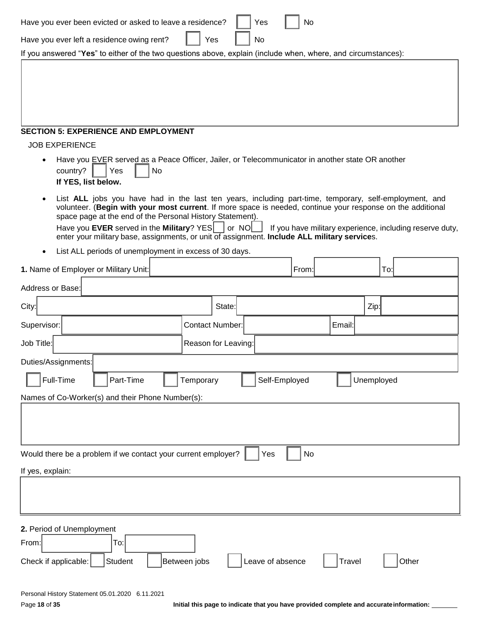| Have you ever been evicted or asked to leave a residence?                                                                                                                                                                                                                                                                                                                                                                               | Yes                    | No               |               |                                                          |
|-----------------------------------------------------------------------------------------------------------------------------------------------------------------------------------------------------------------------------------------------------------------------------------------------------------------------------------------------------------------------------------------------------------------------------------------|------------------------|------------------|---------------|----------------------------------------------------------|
| Have you ever left a residence owing rent?                                                                                                                                                                                                                                                                                                                                                                                              | Yes<br>No              |                  |               |                                                          |
| If you answered "Yes" to either of the two questions above, explain (include when, where, and circumstances):                                                                                                                                                                                                                                                                                                                           |                        |                  |               |                                                          |
| <b>SECTION 5: EXPERIENCE AND EMPLOYMENT</b>                                                                                                                                                                                                                                                                                                                                                                                             |                        |                  |               |                                                          |
| <b>JOB EXPERIENCE</b>                                                                                                                                                                                                                                                                                                                                                                                                                   |                        |                  |               |                                                          |
| Have you EVER served as a Peace Officer, Jailer, or Telecommunicator in another state OR another<br>country?<br>Yes<br>No<br>If YES, list below.                                                                                                                                                                                                                                                                                        |                        |                  |               |                                                          |
| List ALL jobs you have had in the last ten years, including part-time, temporary, self-employment, and<br>volunteer. (Begin with your most current. If more space is needed, continue your response on the additional<br>space page at the end of the Personal History Statement).<br>Have you EVER served in the Military? $YES$ or NO<br>enter your military base, assignments, or unit of assignment. Include ALL military services. |                        |                  |               | If you have military experience, including reserve duty, |
| List ALL periods of unemployment in excess of 30 days.                                                                                                                                                                                                                                                                                                                                                                                  |                        |                  |               |                                                          |
| 1. Name of Employer or Military Unit:                                                                                                                                                                                                                                                                                                                                                                                                   |                        | From:            |               | To:                                                      |
| Address or Base:                                                                                                                                                                                                                                                                                                                                                                                                                        |                        |                  |               |                                                          |
| City:                                                                                                                                                                                                                                                                                                                                                                                                                                   | State:                 |                  | Zip:          |                                                          |
| Supervisor:                                                                                                                                                                                                                                                                                                                                                                                                                             | <b>Contact Number:</b> |                  | Email:        |                                                          |
| Job Title:                                                                                                                                                                                                                                                                                                                                                                                                                              | Reason for Leaving:    |                  |               |                                                          |
| Duties/Assignments:                                                                                                                                                                                                                                                                                                                                                                                                                     |                        |                  |               |                                                          |
| Full-Time<br>Part-Time                                                                                                                                                                                                                                                                                                                                                                                                                  | Temporary              | Self-Employed    | Unemployed    |                                                          |
| Names of Co-Worker(s) and their Phone Number(s):                                                                                                                                                                                                                                                                                                                                                                                        |                        |                  |               |                                                          |
| Would there be a problem if we contact your current employer?<br>If yes, explain:                                                                                                                                                                                                                                                                                                                                                       |                        | No<br>Yes        |               |                                                          |
|                                                                                                                                                                                                                                                                                                                                                                                                                                         |                        |                  |               |                                                          |
|                                                                                                                                                                                                                                                                                                                                                                                                                                         |                        |                  |               |                                                          |
| 2. Period of Unemployment<br>From:<br>To:<br>Student<br>Check if applicable:                                                                                                                                                                                                                                                                                                                                                            | Between jobs           | Leave of absence | <b>Travel</b> | Other                                                    |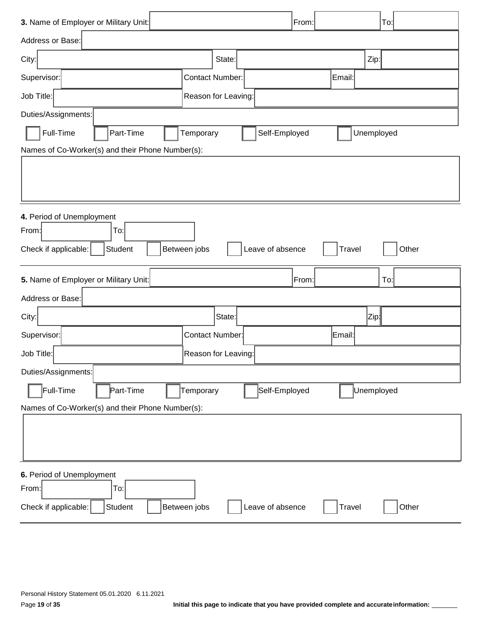| 3. Name of Employer or Military Unit:            |                        | From:                             | To:        |
|--------------------------------------------------|------------------------|-----------------------------------|------------|
| Address or Base:                                 |                        |                                   |            |
| City:                                            | State:                 |                                   | Zip:       |
| Supervisor:                                      | <b>Contact Number:</b> | Email:                            |            |
| Job Title:                                       | Reason for Leaving:    |                                   |            |
| Duties/Assignments:                              |                        |                                   |            |
| Full-Time<br>Part-Time                           | Temporary              | Self-Employed                     | Unemployed |
| Names of Co-Worker(s) and their Phone Number(s): |                        |                                   |            |
|                                                  |                        |                                   |            |
|                                                  |                        |                                   |            |
| 4. Period of Unemployment                        |                        |                                   |            |
| To:<br>From:                                     |                        |                                   |            |
| Student<br>Check if applicable:                  | Between jobs           | Leave of absence<br><b>Travel</b> | Other      |
|                                                  |                        |                                   |            |
| 5. Name of Employer or Military Unit:            |                        | From:                             | To:        |
| Address or Base:                                 |                        |                                   |            |
| City:                                            | State:                 |                                   | Zip¦       |
| Supervisor:                                      | <b>Contact Number:</b> | Email:                            |            |
| Job Title:                                       | Reason for Leaving:    |                                   |            |
| Duties/Assignments:                              |                        |                                   |            |
| Full-Time<br>Part-Time                           | Temporary              | Self-Employed                     | Unemployed |
| Names of Co-Worker(s) and their Phone Number(s): |                        |                                   |            |
|                                                  |                        |                                   |            |
|                                                  |                        |                                   |            |
|                                                  |                        |                                   |            |
| 6. Period of Unemployment<br>From:<br>To:        |                        |                                   |            |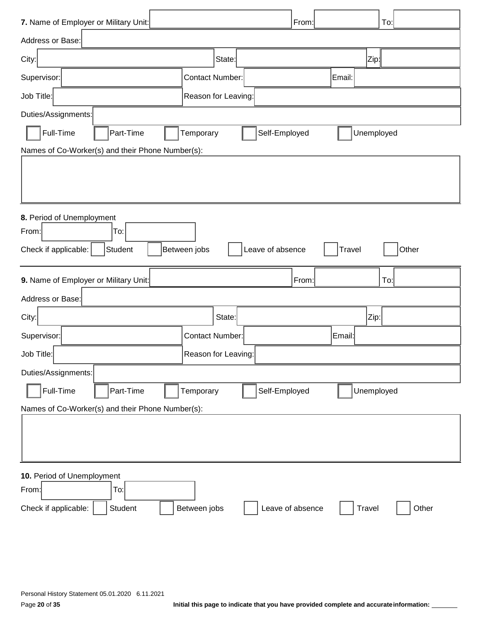| 7. Name of Employer or Military Unit:            |                                  | From:<br>To:  |       |
|--------------------------------------------------|----------------------------------|---------------|-------|
| Address or Base:                                 |                                  |               |       |
| City:                                            | State:                           | Zip∦          |       |
| Supervisor:                                      | <b>Contact Number:</b>           | Email:        |       |
| Job Title:                                       | Reason for Leaving:              |               |       |
| Duties/Assignments:                              |                                  |               |       |
| Full-Time<br>Part-Time                           | Self-Employed<br>Temporary       | Unemployed    |       |
| Names of Co-Worker(s) and their Phone Number(s): |                                  |               |       |
|                                                  |                                  |               |       |
|                                                  |                                  |               |       |
|                                                  |                                  |               |       |
| 8. Period of Unemployment<br>From:<br>To:        |                                  |               |       |
| Check if applicable:<br>Student                  | Between jobs<br>Leave of absence | <b>Travel</b> | Other |
|                                                  |                                  |               |       |
| 9. Name of Employer or Military Unit:            |                                  | From:<br>To:  |       |
| Address or Base:                                 |                                  |               |       |
| City:                                            | State:                           | Zip:          |       |
| Supervisor:                                      | <b>Contact Number:</b>           | Email:        |       |
| Job Title:                                       | Reason for Leaving:              |               |       |
| Duties/Assignments:                              |                                  |               |       |
| Full-Time<br>Part-Time                           | Self-Employed<br>Temporary       | Unemployed    |       |
| Names of Co-Worker(s) and their Phone Number(s): |                                  |               |       |
|                                                  |                                  |               |       |
|                                                  |                                  |               |       |
|                                                  |                                  |               |       |
| 10. Period of Unemployment                       |                                  |               |       |
| To:<br>From:<br>Check if applicable:<br>Student  |                                  |               |       |
|                                                  | Between jobs<br>Leave of absence | Travel        | Other |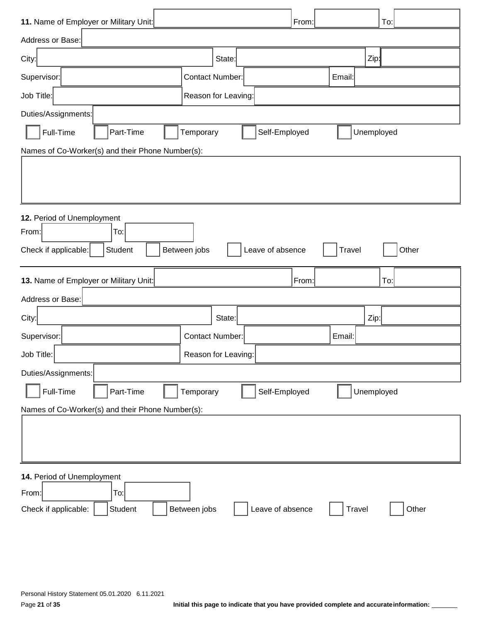| 11. Name of Employer or Military Unit:           |                                  | From:            | To:        |
|--------------------------------------------------|----------------------------------|------------------|------------|
| Address or Base:                                 |                                  |                  |            |
| City:                                            | State:                           | Zip <sub>1</sub> |            |
| Supervisor:                                      | <b>Contact Number:</b>           | Email:           |            |
| Job Title:                                       | Reason for Leaving:              |                  |            |
| Duties/Assignments:                              |                                  |                  |            |
| Full-Time<br>Part-Time                           | Self-Employed<br>Temporary       | Unemployed       |            |
| Names of Co-Worker(s) and their Phone Number(s): |                                  |                  |            |
|                                                  |                                  |                  |            |
|                                                  |                                  |                  |            |
|                                                  |                                  |                  |            |
| 12. Period of Unemployment                       |                                  |                  |            |
| From:<br>To:                                     |                                  |                  |            |
| Student<br>Check if applicable:                  | Between jobs<br>Leave of absence | Travel           | Other      |
| 13. Name of Employer or Military Unit:           |                                  | From:            | To:        |
| Address or Base:                                 |                                  |                  |            |
| City:                                            | State:                           | Zip:             |            |
| Supervisor:                                      | <b>Contact Number:</b>           | Email:           |            |
| Job Title:                                       | Reason for Leaving:              |                  |            |
| Duties/Assignments:                              |                                  |                  |            |
| Full-Time<br>Part-Time                           | Self-Employed<br>Temporary       |                  | Unemployed |
| Names of Co-Worker(s) and their Phone Number(s): |                                  |                  |            |
|                                                  |                                  |                  |            |
|                                                  |                                  |                  |            |
|                                                  |                                  |                  |            |
| 14. Period of Unemployment                       |                                  |                  |            |
| To:<br>From:                                     |                                  |                  |            |
| Student<br>Check if applicable:                  | Between jobs<br>Leave of absence | Travel           | Other      |
|                                                  |                                  |                  |            |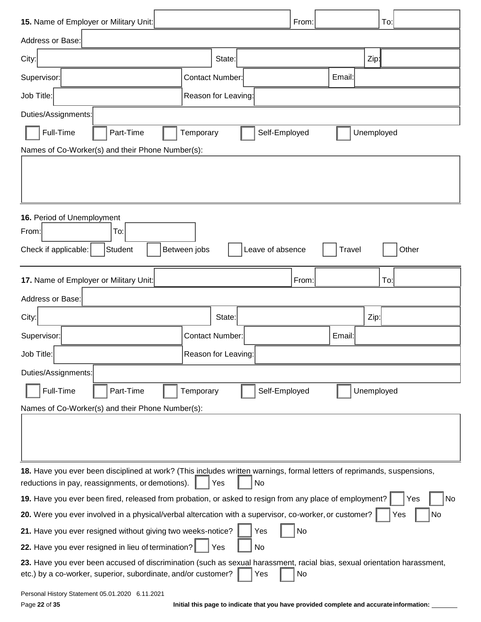| 15. Name of Employer or Military Unit:                                                                                                                                                    |                                                                                         | From:         |        | To:              |
|-------------------------------------------------------------------------------------------------------------------------------------------------------------------------------------------|-----------------------------------------------------------------------------------------|---------------|--------|------------------|
| Address or Base:                                                                                                                                                                          |                                                                                         |               |        |                  |
| City:                                                                                                                                                                                     | State:                                                                                  |               |        | Zip <sub>1</sub> |
| Supervisor:                                                                                                                                                                               | <b>Contact Number:</b>                                                                  |               | Email: |                  |
| Job Title:                                                                                                                                                                                | Reason for Leaving:                                                                     |               |        |                  |
| Duties/Assignments:                                                                                                                                                                       |                                                                                         |               |        |                  |
| Full-Time<br>Part-Time                                                                                                                                                                    | Temporary                                                                               | Self-Employed |        | Unemployed       |
| Names of Co-Worker(s) and their Phone Number(s):                                                                                                                                          |                                                                                         |               |        |                  |
|                                                                                                                                                                                           |                                                                                         |               |        |                  |
| 16. Period of Unemployment                                                                                                                                                                |                                                                                         |               |        |                  |
| To:<br>From:                                                                                                                                                                              |                                                                                         |               |        |                  |
| Student<br>Check if applicable:                                                                                                                                                           | Between jobs<br>Leave of absence                                                        |               | Travel | Other            |
| 17. Name of Employer or Military Unit:                                                                                                                                                    |                                                                                         | From:         |        | To:              |
| Address or Base:                                                                                                                                                                          |                                                                                         |               |        |                  |
| City:                                                                                                                                                                                     | State:                                                                                  |               |        | Zip:             |
| Supervisor:                                                                                                                                                                               | <b>Contact Number:</b>                                                                  |               | Email: |                  |
| Job Title:                                                                                                                                                                                | Reason for Leaving:                                                                     |               |        |                  |
| Duties/Assignments:                                                                                                                                                                       |                                                                                         |               |        |                  |
| Full-Time<br>Part-Time                                                                                                                                                                    | Temporary                                                                               | Self-Employed |        | Unemployed       |
| Names of Co-Worker(s) and their Phone Number(s):                                                                                                                                          |                                                                                         |               |        |                  |
|                                                                                                                                                                                           |                                                                                         |               |        |                  |
| 18. Have you ever been disciplined at work? (This includes written warnings, formal letters of reprimands, suspensions,<br>reductions in pay, reassignments, or demotions).               | No<br>Yes                                                                               |               |        |                  |
| 19. Have you ever been fired, released from probation, or asked to resign from any place of employment?                                                                                   |                                                                                         |               |        | Yes<br>No        |
| 20. Were you ever involved in a physical/verbal altercation with a supervisor, co-worker, or customer?                                                                                    |                                                                                         |               |        | No<br>Yes        |
| 21. Have you ever resigned without giving two weeks-notice?                                                                                                                               | Yes                                                                                     | <b>No</b>     |        |                  |
| 22. Have you ever resigned in lieu of termination?                                                                                                                                        | Yes<br>No                                                                               |               |        |                  |
| 23. Have you ever been accused of discrimination (such as sexual harassment, racial bias, sexual orientation harassment,<br>etc.) by a co-worker, superior, subordinate, and/or customer? | Yes                                                                                     | No            |        |                  |
| Personal History Statement 05.01.2020 6.11.2021<br>Page 22 of 35                                                                                                                          | Initial this page to indicate that you have provided complete and accurate information: |               |        |                  |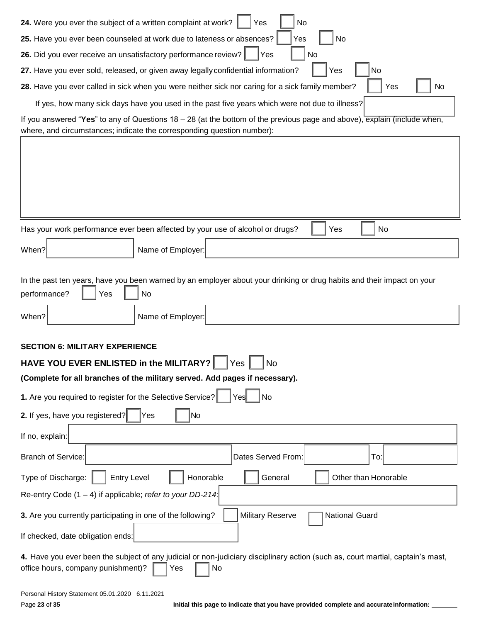| 24. Were you ever the subject of a written complaint at work?<br>Yes<br>No                                                                                                         |
|------------------------------------------------------------------------------------------------------------------------------------------------------------------------------------|
| 25. Have you ever been counseled at work due to lateness or absences?<br>No<br>Yes                                                                                                 |
| 26. Did you ever receive an unsatisfactory performance review?<br>Yes<br>No                                                                                                        |
| No<br>27. Have you ever sold, released, or given away legally confidential information?<br>Yes                                                                                     |
| 28. Have you ever called in sick when you were neither sick nor caring for a sick family member?<br>Yes<br>No                                                                      |
| If yes, how many sick days have you used in the past five years which were not due to illness?                                                                                     |
| If you answered "Yes" to any of Questions $18 - 28$ (at the bottom of the previous page and above), explain (include when,                                                         |
| where, and circumstances; indicate the corresponding question number):                                                                                                             |
|                                                                                                                                                                                    |
|                                                                                                                                                                                    |
|                                                                                                                                                                                    |
|                                                                                                                                                                                    |
| Has your work performance ever been affected by your use of alcohol or drugs?<br>Yes<br>No                                                                                         |
|                                                                                                                                                                                    |
| Name of Employer:<br>When?                                                                                                                                                         |
|                                                                                                                                                                                    |
| In the past ten years, have you been warned by an employer about your drinking or drug habits and their impact on your<br>performance?<br>No<br>Yes                                |
|                                                                                                                                                                                    |
| Name of Employer:<br>When?                                                                                                                                                         |
| <b>SECTION 6: MILITARY EXPERIENCE</b>                                                                                                                                              |
| HAVE YOU EVER ENLISTED in the MILITARY?<br>Yes<br><b>No</b>                                                                                                                        |
| (Complete for all branches of the military served. Add pages if necessary).                                                                                                        |
| 1. Are you required to register for the Selective Service?<br>Yes<br>No                                                                                                            |
|                                                                                                                                                                                    |
| 2. If yes, have you registered?<br>No<br>Yes                                                                                                                                       |
| If no, explain:                                                                                                                                                                    |
| Branch of Service:<br>Dates Served From:<br>To:                                                                                                                                    |
| Honorable<br>General<br>Other than Honorable<br>Type of Discharge:<br><b>Entry Level</b>                                                                                           |
| Re-entry Code $(1 - 4)$ if applicable; refer to your DD-214:                                                                                                                       |
| 3. Are you currently participating in one of the following?<br><b>Military Reserve</b><br><b>National Guard</b>                                                                    |
| If checked, date obligation ends:                                                                                                                                                  |
| 4. Have you ever been the subject of any judicial or non-judiciary disciplinary action (such as, court martial, captain's mast,<br>office hours, company punishment)?<br>No<br>Yes |
| Personal History Statement 05.01.2020 6.11.2021                                                                                                                                    |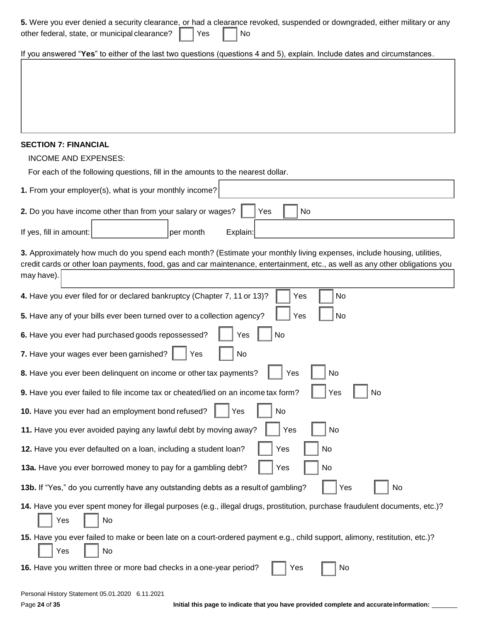| 5. Were you ever denied a security clearance, or had a clearance revoked, suspended or downgraded, either military or any<br>other federal, state, or municipal clearance?<br>Yes<br>No                                                                               |
|-----------------------------------------------------------------------------------------------------------------------------------------------------------------------------------------------------------------------------------------------------------------------|
| If you answered "Yes" to either of the last two questions (questions 4 and 5), explain. Include dates and circumstances.                                                                                                                                              |
|                                                                                                                                                                                                                                                                       |
|                                                                                                                                                                                                                                                                       |
|                                                                                                                                                                                                                                                                       |
|                                                                                                                                                                                                                                                                       |
| <b>SECTION 7: FINANCIAL</b>                                                                                                                                                                                                                                           |
| <b>INCOME AND EXPENSES:</b><br>For each of the following questions, fill in the amounts to the nearest dollar.                                                                                                                                                        |
| 1. From your employer(s), what is your monthly income?                                                                                                                                                                                                                |
|                                                                                                                                                                                                                                                                       |
| No<br>2. Do you have income other than from your salary or wages?<br>Yes                                                                                                                                                                                              |
| If yes, fill in amount:<br>per month<br>Explain:                                                                                                                                                                                                                      |
| 3. Approximately how much do you spend each month? (Estimate your monthly living expenses, include housing, utilities,<br>credit cards or other loan payments, food, gas and car maintenance, entertainment, etc., as well as any other obligations you<br>may have). |
| <b>No</b><br>4. Have you ever filed for or declared bankruptcy (Chapter 7, 11 or 13)?<br>Yes                                                                                                                                                                          |
| Yes<br>No<br>5. Have any of your bills ever been turned over to a collection agency?                                                                                                                                                                                  |
| No<br>6. Have you ever had purchased goods repossessed?<br>Yes                                                                                                                                                                                                        |
| 7. Have your wages ever been garnished?<br>No<br>Yes                                                                                                                                                                                                                  |
| Yes<br>8. Have you ever been delinquent on income or other tax payments?<br><b>NO</b>                                                                                                                                                                                 |
| 9. Have you ever failed to file income tax or cheated/lied on an income tax form?<br>Yes<br>No                                                                                                                                                                        |
| 10. Have you ever had an employment bond refused?<br>Yes<br>No                                                                                                                                                                                                        |
| Yes<br>11. Have you ever avoided paying any lawful debt by moving away?<br>No                                                                                                                                                                                         |
| Yes<br>12. Have you ever defaulted on a loan, including a student loan?<br>No                                                                                                                                                                                         |
| 13a. Have you ever borrowed money to pay for a gambling debt?<br>Yes<br>No                                                                                                                                                                                            |
| 13b. If "Yes," do you currently have any outstanding debts as a result of gambling?<br>Yes<br>No                                                                                                                                                                      |
| 14. Have you ever spent money for illegal purposes (e.g., illegal drugs, prostitution, purchase fraudulent documents, etc.)?<br>Yes<br>No                                                                                                                             |
| 15. Have you ever failed to make or been late on a court-ordered payment e.g., child support, alimony, restitution, etc.)?<br>No<br>Yes                                                                                                                               |
| 16. Have you written three or more bad checks in a one-year period?<br>No<br>Yes                                                                                                                                                                                      |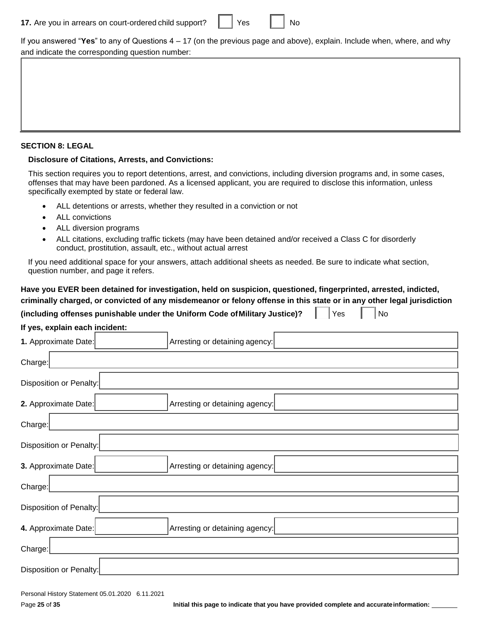| 17. Are you in arrears on court-ordered child support? |  | Yes |  | No |
|--------------------------------------------------------|--|-----|--|----|
|--------------------------------------------------------|--|-----|--|----|

If you answered "**Yes**" to any of Questions 4 – 17 (on the previous page and above), explain. Include when, where, and why and indicate the corresponding question number:

#### **SECTION 8: LEGAL**

#### **Disclosure of Citations, Arrests, and Convictions:**

This section requires you to report detentions, arrest, and convictions, including diversion programs and, in some cases, offenses that may have been pardoned. As a licensed applicant, you are required to disclose this information, unless specifically exempted by state or federal law.

- ALL detentions or arrests, whether they resulted in a conviction or not
- ALL convictions
- ALL diversion programs
- ALL citations, excluding traffic tickets (may have been detained and/or received a Class C for disorderly conduct, prostitution, assault, etc., without actual arrest

If you need additional space for your answers, attach additional sheets as needed. Be sure to indicate what section, question number, and page it refers.

### **Have you EVER been detained for investigation, held on suspicion, questioned, fingerprinted, arrested, indicted, criminally charged, or convicted of any misdemeanor or felony offense in this state or in any other legal jurisdiction**

| Yes<br>No<br>(including offenses punishable under the Uniform Code of Military Justice)? |
|------------------------------------------------------------------------------------------|
| If yes, explain each incident:                                                           |
| 1. Approximate Date:<br>Arresting or detaining agency:                                   |
| Charge:                                                                                  |
| Disposition or Penalty:                                                                  |
| 2. Approximate Date:<br>Arresting or detaining agency:                                   |
| Charge:                                                                                  |
| Disposition or Penalty:                                                                  |
| 3. Approximate Date:<br>Arresting or detaining agency:                                   |
| Charge:                                                                                  |
| Disposition of Penalty:                                                                  |
| 4. Approximate Date:<br>Arresting or detaining agency:                                   |
| Charge:                                                                                  |
| Disposition or Penalty:                                                                  |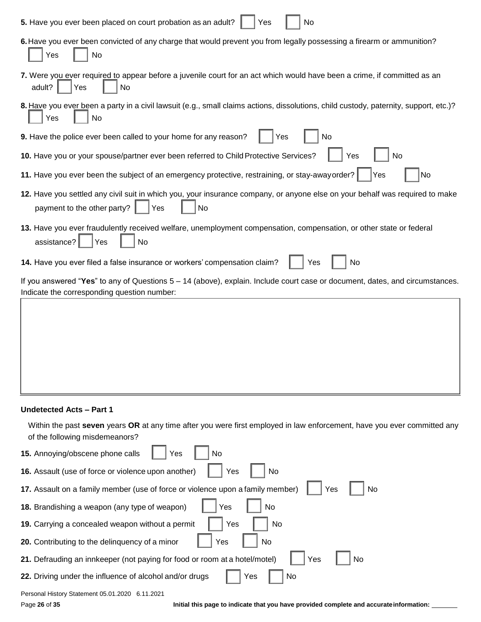| 5. Have you ever been placed on court probation as an adult?<br>No<br>Yes                                                                                                     |
|-------------------------------------------------------------------------------------------------------------------------------------------------------------------------------|
| 6. Have you ever been convicted of any charge that would prevent you from legally possessing a firearm or ammunition?<br>No<br>Yes                                            |
| 7. Were you ever required to appear before a juvenile court for an act which would have been a crime, if committed as an<br>adult?<br>No<br>Yes                               |
| 8. Have you ever been a party in a civil lawsuit (e.g., small claims actions, dissolutions, child custody, paternity, support, etc.)?<br>Yes<br>No                            |
| 9. Have the police ever been called to your home for any reason?<br>Yes<br>No                                                                                                 |
| 10. Have you or your spouse/partner ever been referred to Child Protective Services?<br>No<br>Yes                                                                             |
| 11. Have you ever been the subject of an emergency protective, restraining, or stay-away order?<br>No<br>Yes                                                                  |
| 12. Have you settled any civil suit in which you, your insurance company, or anyone else on your behalf was required to make<br>payment to the other party?<br>Yes<br>No      |
| 13. Have you ever fraudulently received welfare, unemployment compensation, compensation, or other state or federal<br>assistance?<br>Yes<br>No                               |
| 14. Have you ever filed a false insurance or workers' compensation claim?<br>No<br>Yes                                                                                        |
| If you answered "Yes" to any of Questions $5 - 14$ (above), explain. Include court case or document, dates, and circumstances.<br>Indicate the corresponding question number: |
|                                                                                                                                                                               |
|                                                                                                                                                                               |
|                                                                                                                                                                               |
|                                                                                                                                                                               |
|                                                                                                                                                                               |

#### **Undetected Acts – Part 1**

Within the past **seven** years **OR** at any time after you were first employed in law enforcement, have you ever committed any of the following misdemeanors?

| 15. Annoying/obscene phone calls<br>No<br>Yes                                               |
|---------------------------------------------------------------------------------------------|
| 16. Assault (use of force or violence upon another)<br>Yes<br>No                            |
| 17. Assault on a family member (use of force or violence upon a family member)<br>Yes<br>No |
| 18. Brandishing a weapon (any type of weapon)<br>Yes<br>No                                  |
| Yes<br>No<br>19. Carrying a concealed weapon without a permit                               |
| 20. Contributing to the delinguency of a minor<br>No<br>Yes                                 |
| Yes<br>21. Defrauding an innkeeper (not paying for food or room at a hotel/motel)<br>No     |
| 22. Driving under the influence of alcohol and/or drugs<br>No<br>Yes                        |
| Personal History Statement 05.01.2020 6.11.2021                                             |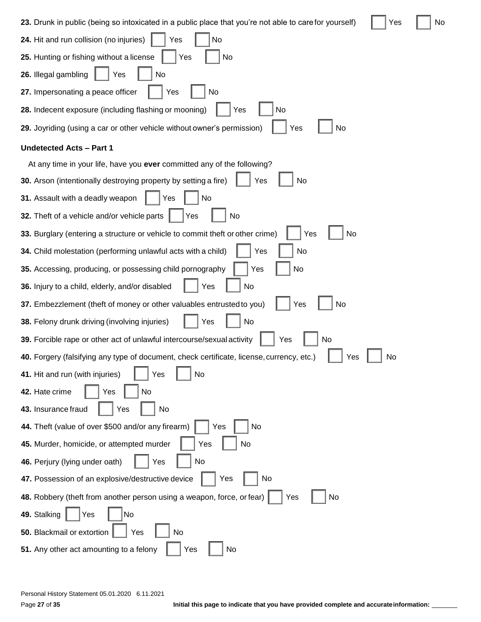**23.** Drunk in public (being so intoxicated in a public place that you're not able to carefor yourself)  $\Box$  Yes  $\Box$  No

| 24. Hit and run collision (no injuries)<br>No<br>Yes                                                   |
|--------------------------------------------------------------------------------------------------------|
| 25. Hunting or fishing without a license<br>No<br>Yes                                                  |
| 26. Illegal gambling<br>Yes<br>No                                                                      |
| 27. Impersonating a peace officer<br>Yes<br>No                                                         |
| 28. Indecent exposure (including flashing or mooning)<br>No<br>Yes                                     |
| 29. Joyriding (using a car or other vehicle without owner's permission)<br>Yes<br>No                   |
| <b>Undetected Acts - Part 1</b>                                                                        |
| At any time in your life, have you ever committed any of the following?                                |
| 30. Arson (intentionally destroying property by setting a fire)<br>No<br>Yes                           |
| 31. Assault with a deadly weapon<br>Yes<br>No                                                          |
| 32. Theft of a vehicle and/or vehicle parts<br>No<br>Yes                                               |
| 33. Burglary (entering a structure or vehicle to commit theft or other crime)<br>No<br>Yes             |
| No<br>34. Child molestation (performing unlawful acts with a child)<br>Yes                             |
| No<br>35. Accessing, producing, or possessing child pornography<br>Yes                                 |
| 36. Injury to a child, elderly, and/or disabled<br>Yes<br>No                                           |
| 37. Embezzlement (theft of money or other valuables entrusted to you)<br>No<br>Yes                     |
| 38. Felony drunk driving (involving injuries)<br>No<br>Yes                                             |
| 39. Forcible rape or other act of unlawful intercourse/sexual activity<br>No<br>Yes                    |
| 40. Forgery (falsifying any type of document, check certificate, license, currency, etc.)<br>No<br>Yes |
| 41. Hit and run (with injuries)<br>Yes<br>No                                                           |
| No<br>42. Hate crime<br>Yes                                                                            |
| 43. Insurance fraud<br>Yes<br>No                                                                       |
| 44. Theft (value of over \$500 and/or any firearm)<br>No<br>Yes                                        |
| No<br>45. Murder, homicide, or attempted murder<br>Yes                                                 |
| No<br>46. Perjury (lying under oath)<br>Yes                                                            |
| 47. Possession of an explosive/destructive device<br>Yes<br>No                                         |
| 48. Robbery (theft from another person using a weapon, force, or fear)<br>Yes<br>No                    |
| 49. Stalking<br>Yes<br>No                                                                              |
| 50. Blackmail or extortion<br>Yes<br>No                                                                |
| 51. Any other act amounting to a felony<br>Yes<br>No                                                   |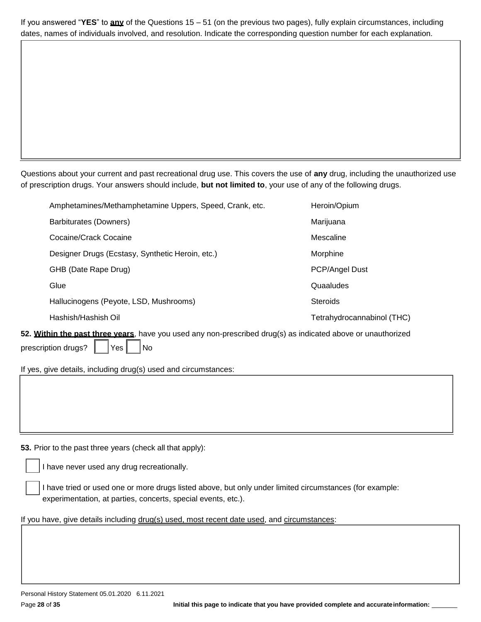If you answered "**YES**" to **any** of the Questions 15 – 51 (on the previous two pages), fully explain circumstances, including dates, names of individuals involved, and resolution. Indicate the corresponding question number for each explanation.

Questions about your current and past recreational drug use. This covers the use of **any** drug, including the unauthorized use of prescription drugs. Your answers should include, **but not limited to**, your use of any of the following drugs.

| Amphetamines/Methamphetamine Uppers, Speed, Crank, etc.                                                                | Heroin/Opium               |  |  |  |
|------------------------------------------------------------------------------------------------------------------------|----------------------------|--|--|--|
| Barbiturates (Downers)                                                                                                 | Marijuana                  |  |  |  |
| Cocaine/Crack Cocaine                                                                                                  | Mescaline                  |  |  |  |
| Designer Drugs (Ecstasy, Synthetic Heroin, etc.)                                                                       | Morphine                   |  |  |  |
| GHB (Date Rape Drug)                                                                                                   | PCP/Angel Dust             |  |  |  |
| Glue                                                                                                                   | Quaaludes                  |  |  |  |
| Hallucinogens (Peyote, LSD, Mushrooms)                                                                                 | <b>Steroids</b>            |  |  |  |
| Hashish/Hashish Oil                                                                                                    | Tetrahydrocannabinol (THC) |  |  |  |
| $\mathbf{a}$ it is the past three verse, boys you used any non-processibed drug(s) as indicated aboys or unquitborized |                            |  |  |  |

**52. Within the past three years**, have you used any non-prescribed drug(s) as indicated above or unauthorized prescription drugs?  $\parallel$   $\parallel$  Yes  $\parallel$   $\parallel$  No

If yes, give details, including drug(s) used and circumstances:

**53.** Prior to the past three years (check all that apply):

I have never used any drug recreationally.

I have tried or used one or more drugs listed above, but only under limited circumstances (for example: experimentation, at parties, concerts, special events, etc.).

If you have, give details including drug(s) used, most recent date used, and circumstances: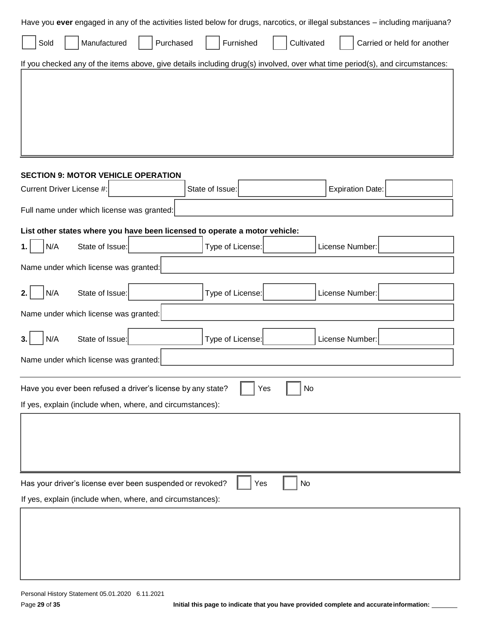| Have you ever engaged in any of the activities listed below for drugs, narcotics, or illegal substances - including marijuana? |  |  |  |  |  |  |  |
|--------------------------------------------------------------------------------------------------------------------------------|--|--|--|--|--|--|--|
| Furnished<br>Cultivated<br>Manufactured<br>Purchased<br>Carried or held for another<br>Sold                                    |  |  |  |  |  |  |  |
| If you checked any of the items above, give details including drug(s) involved, over what time period(s), and circumstances:   |  |  |  |  |  |  |  |
|                                                                                                                                |  |  |  |  |  |  |  |
| <b>SECTION 9: MOTOR VEHICLE OPERATION</b>                                                                                      |  |  |  |  |  |  |  |
| Current Driver License #:<br>State of Issue:<br><b>Expiration Date:</b>                                                        |  |  |  |  |  |  |  |
| Full name under which license was granted:                                                                                     |  |  |  |  |  |  |  |
| List other states where you have been licensed to operate a motor vehicle:                                                     |  |  |  |  |  |  |  |
| N/A<br>State of Issue:<br>Type of License:<br>License Number:                                                                  |  |  |  |  |  |  |  |
| Name under which license was granted:                                                                                          |  |  |  |  |  |  |  |
| N/A<br>State of Issue:<br>Type of License:<br>License Number:                                                                  |  |  |  |  |  |  |  |
| Name under which license was granted:                                                                                          |  |  |  |  |  |  |  |
| N/A<br>State of Issue:<br>Type of License:<br>License Number:                                                                  |  |  |  |  |  |  |  |
| Name under which license was granted:                                                                                          |  |  |  |  |  |  |  |
| No<br>Have you ever been refused a driver's license by any state?<br>Yes                                                       |  |  |  |  |  |  |  |
| If yes, explain (include when, where, and circumstances):                                                                      |  |  |  |  |  |  |  |
|                                                                                                                                |  |  |  |  |  |  |  |
|                                                                                                                                |  |  |  |  |  |  |  |
| Has your driver's license ever been suspended or revoked?<br><b>No</b><br>Yes                                                  |  |  |  |  |  |  |  |
| If yes, explain (include when, where, and circumstances):                                                                      |  |  |  |  |  |  |  |
|                                                                                                                                |  |  |  |  |  |  |  |
|                                                                                                                                |  |  |  |  |  |  |  |
|                                                                                                                                |  |  |  |  |  |  |  |
|                                                                                                                                |  |  |  |  |  |  |  |
|                                                                                                                                |  |  |  |  |  |  |  |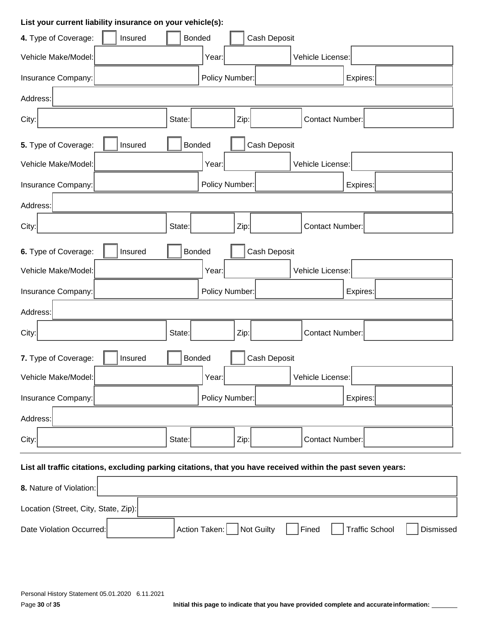### **List your current liability insurance on your vehicle(s):**

| 4. Type of Coverage:<br>Insured                                                                               | <b>Bonded</b><br>Cash Deposit |                        |  |  |  |
|---------------------------------------------------------------------------------------------------------------|-------------------------------|------------------------|--|--|--|
| Vehicle Make/Model:                                                                                           | Year:                         | Vehicle License:       |  |  |  |
| Insurance Company:                                                                                            | Policy Number:                | Expires:               |  |  |  |
| Address:                                                                                                      |                               |                        |  |  |  |
| City:                                                                                                         | State:<br>Zip:                | <b>Contact Number:</b> |  |  |  |
| 5. Type of Coverage:<br>Insured                                                                               | Cash Deposit<br><b>Bonded</b> |                        |  |  |  |
| Vehicle Make/Model:                                                                                           | Year:                         | Vehicle License:       |  |  |  |
| Insurance Company:                                                                                            | Policy Number:                | Expires:               |  |  |  |
| Address:                                                                                                      |                               |                        |  |  |  |
| City:                                                                                                         | State:<br>Zip:                | <b>Contact Number:</b> |  |  |  |
| 6. Type of Coverage:<br>Insured                                                                               | <b>Bonded</b><br>Cash Deposit |                        |  |  |  |
| Vehicle Make/Model:                                                                                           | Year:                         | Vehicle License:       |  |  |  |
| Insurance Company:                                                                                            | Policy Number:                | Expires:               |  |  |  |
| Address:                                                                                                      |                               |                        |  |  |  |
| City:                                                                                                         | State:<br>Zip:                | <b>Contact Number:</b> |  |  |  |
| 7. Type of Coverage:<br>Insured                                                                               | Cash Deposit<br><b>Bonded</b> |                        |  |  |  |
| Vehicle Make/Model:                                                                                           | Year:                         | Vehicle License:       |  |  |  |
| Insurance Company:                                                                                            | Policy Number:                | Expires:               |  |  |  |
| Address:                                                                                                      |                               |                        |  |  |  |
| City:                                                                                                         | State:<br>Zip:                | <b>Contact Number:</b> |  |  |  |
| List all traffic citations, excluding parking citations, that you have received within the past seven years:  |                               |                        |  |  |  |
| 8. Nature of Violation:                                                                                       |                               |                        |  |  |  |
| Location (Street, City, State, Zip):                                                                          |                               |                        |  |  |  |
| <b>Traffic School</b><br>Action Taken:<br><b>Not Guilty</b><br>Fined<br>Dismissed<br>Date Violation Occurred: |                               |                        |  |  |  |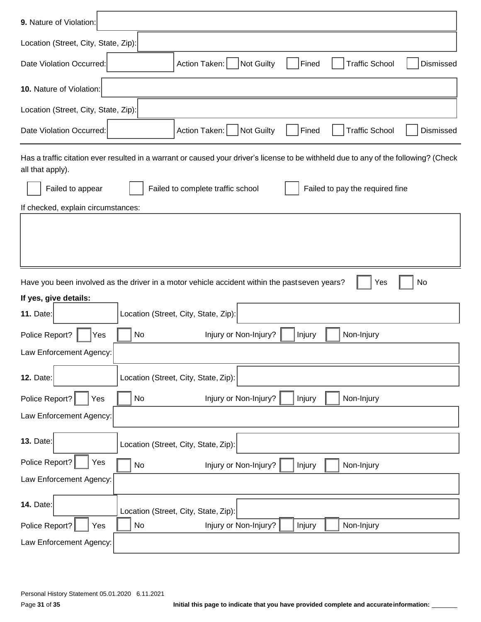| 9. Nature of Violation:                                                                                                                                  |  |  |  |  |  |  |
|----------------------------------------------------------------------------------------------------------------------------------------------------------|--|--|--|--|--|--|
| Location (Street, City, State, Zip):                                                                                                                     |  |  |  |  |  |  |
| <b>Traffic School</b><br>Date Violation Occurred:<br>Action Taken:<br><b>Not Guilty</b><br>Fined<br>Dismissed                                            |  |  |  |  |  |  |
| 10. Nature of Violation:                                                                                                                                 |  |  |  |  |  |  |
| Location (Street, City, State, Zip):                                                                                                                     |  |  |  |  |  |  |
| Not Guilty<br>Action Taken:<br><b>Traffic School</b><br>Date Violation Occurred:<br>Fined<br>Dismissed                                                   |  |  |  |  |  |  |
| Has a traffic citation ever resulted in a warrant or caused your driver's license to be withheld due to any of the following? (Check<br>all that apply). |  |  |  |  |  |  |
| Failed to pay the required fine<br>Failed to appear<br>Failed to complete traffic school                                                                 |  |  |  |  |  |  |
| If checked, explain circumstances:                                                                                                                       |  |  |  |  |  |  |
|                                                                                                                                                          |  |  |  |  |  |  |
|                                                                                                                                                          |  |  |  |  |  |  |
| Have you been involved as the driver in a motor vehicle accident within the pastseven years?<br>No<br>Yes<br>If yes, give details:                       |  |  |  |  |  |  |
| Location (Street, City, State, Zip):<br><b>11. Date:</b>                                                                                                 |  |  |  |  |  |  |
| Police Report?<br>No<br>Injury or Non-Injury?<br>Non-Injury<br>Injury<br>Yes                                                                             |  |  |  |  |  |  |
| Law Enforcement Agency:                                                                                                                                  |  |  |  |  |  |  |
| Location (Street, City, State, Zip):<br><b>12. Date:</b>                                                                                                 |  |  |  |  |  |  |
| Injury or Non-Injury?<br>Police Report?<br>Non-Injury<br>No<br>Injury<br>Yes                                                                             |  |  |  |  |  |  |
| Law Enforcement Agency:                                                                                                                                  |  |  |  |  |  |  |
| <b>13. Date:</b><br>Location (Street, City, State, Zip):                                                                                                 |  |  |  |  |  |  |
| Police Report?<br>Yes<br>Injury or Non-Injury?<br>Non-Injury<br>No<br>Injury                                                                             |  |  |  |  |  |  |
| Law Enforcement Agency:                                                                                                                                  |  |  |  |  |  |  |
| <b>14. Date:</b><br>Location (Street, City, State, Zip):                                                                                                 |  |  |  |  |  |  |
| Police Report?<br>Non-Injury<br>No<br>Injury or Non-Injury?<br>Yes<br>Injury                                                                             |  |  |  |  |  |  |
| Law Enforcement Agency:                                                                                                                                  |  |  |  |  |  |  |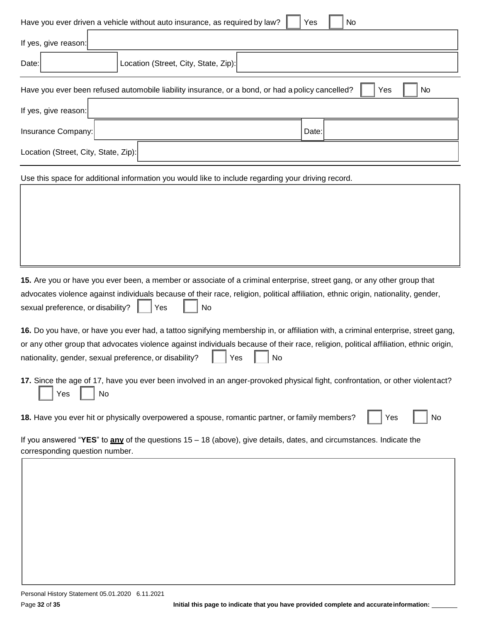| Have you ever driven a vehicle without auto insurance, as required by law?<br>No<br>Yes                                                                                                                      |  |  |  |  |  |  |
|--------------------------------------------------------------------------------------------------------------------------------------------------------------------------------------------------------------|--|--|--|--|--|--|
| If yes, give reason:                                                                                                                                                                                         |  |  |  |  |  |  |
| Location (Street, City, State, Zip):<br>Date:                                                                                                                                                                |  |  |  |  |  |  |
| Have you ever been refused automobile liability insurance, or a bond, or had a policy cancelled?<br><b>No</b><br>Yes                                                                                         |  |  |  |  |  |  |
| If yes, give reason:                                                                                                                                                                                         |  |  |  |  |  |  |
| Insurance Company:<br>Date:                                                                                                                                                                                  |  |  |  |  |  |  |
| Location (Street, City, State, Zip):                                                                                                                                                                         |  |  |  |  |  |  |
| Use this space for additional information you would like to include regarding your driving record.                                                                                                           |  |  |  |  |  |  |
|                                                                                                                                                                                                              |  |  |  |  |  |  |
|                                                                                                                                                                                                              |  |  |  |  |  |  |
|                                                                                                                                                                                                              |  |  |  |  |  |  |
|                                                                                                                                                                                                              |  |  |  |  |  |  |
| 15. Are you or have you ever been, a member or associate of a criminal enterprise, street gang, or any other group that                                                                                      |  |  |  |  |  |  |
| advocates violence against individuals because of their race, religion, political affiliation, ethnic origin, nationality, gender,<br>sexual preference, or disability?<br>No<br>Yes                         |  |  |  |  |  |  |
| 16. Do you have, or have you ever had, a tattoo signifying membership in, or affiliation with, a criminal enterprise, street gang,                                                                           |  |  |  |  |  |  |
| or any other group that advocates violence against individuals because of their race, religion, political affiliation, ethnic origin,<br>nationality, gender, sexual preference, or disability?<br>Yes<br>No |  |  |  |  |  |  |
| 17. Since the age of 17, have you ever been involved in an anger-provoked physical fight, confrontation, or other violentact?<br>Yes<br>No                                                                   |  |  |  |  |  |  |
| 18. Have you ever hit or physically overpowered a spouse, romantic partner, or family members?<br>No<br>Yes                                                                                                  |  |  |  |  |  |  |
| If you answered "YES" to any of the questions 15 – 18 (above), give details, dates, and circumstances. Indicate the<br>corresponding question number.                                                        |  |  |  |  |  |  |
|                                                                                                                                                                                                              |  |  |  |  |  |  |
|                                                                                                                                                                                                              |  |  |  |  |  |  |
|                                                                                                                                                                                                              |  |  |  |  |  |  |
|                                                                                                                                                                                                              |  |  |  |  |  |  |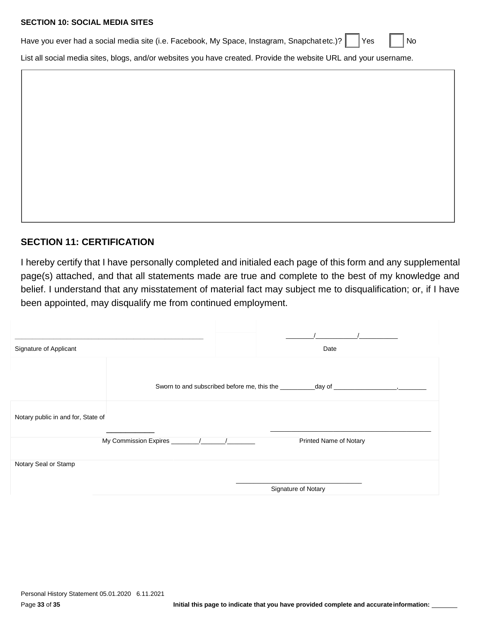#### **SECTION 10: SOCIAL MEDIA SITES**

| Have you ever had a social media site (i.e. Facebook, My Space, Instagram, Snapchat etc.)? Thes Tanti No |  |  |  |  |
|----------------------------------------------------------------------------------------------------------|--|--|--|--|
|                                                                                                          |  |  |  |  |

List all social media sites, blogs, and/or websites you have created. Provide the website URL and your username.

# **SECTION 11: CERTIFICATION**

I hereby certify that I have personally completed and initialed each page of this form and any supplemental page(s) attached, and that all statements made are true and complete to the best of my knowledge and belief. I understand that any misstatement of material fact may subject me to disqualification; or, if I have been appointed, may disqualify me from continued employment.

| Signature of Applicant             |                     |  | Date                                                                                                                                                                                                                          |
|------------------------------------|---------------------|--|-------------------------------------------------------------------------------------------------------------------------------------------------------------------------------------------------------------------------------|
|                                    |                     |  | Sworn to and subscribed before me, this the day of development of the state of the state of the state of the state of the state of the state of the state of the state of the state of the state of the state of the state of |
| Notary public in and for, State of |                     |  |                                                                                                                                                                                                                               |
|                                    |                     |  | Printed Name of Notary                                                                                                                                                                                                        |
| Notary Seal or Stamp               |                     |  |                                                                                                                                                                                                                               |
|                                    | Signature of Notary |  |                                                                                                                                                                                                                               |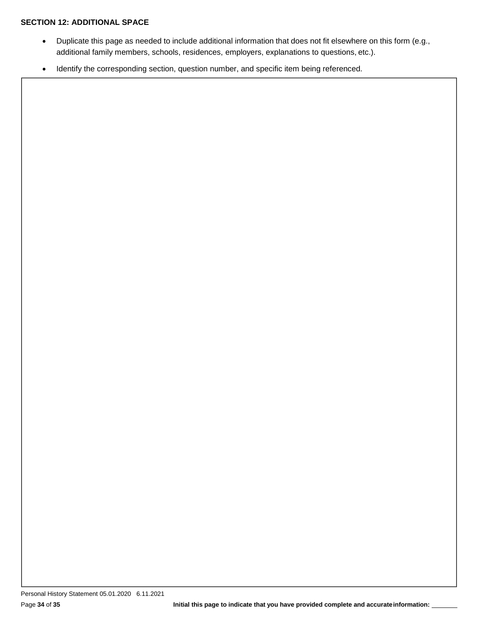### **SECTION 12: ADDITIONAL SPACE**

- Duplicate this page as needed to include additional information that does not fit elsewhere on this form (e.g., additional family members, schools, residences, employers, explanations to questions, etc.).
- Identify the corresponding section, question number, and specific item being referenced.